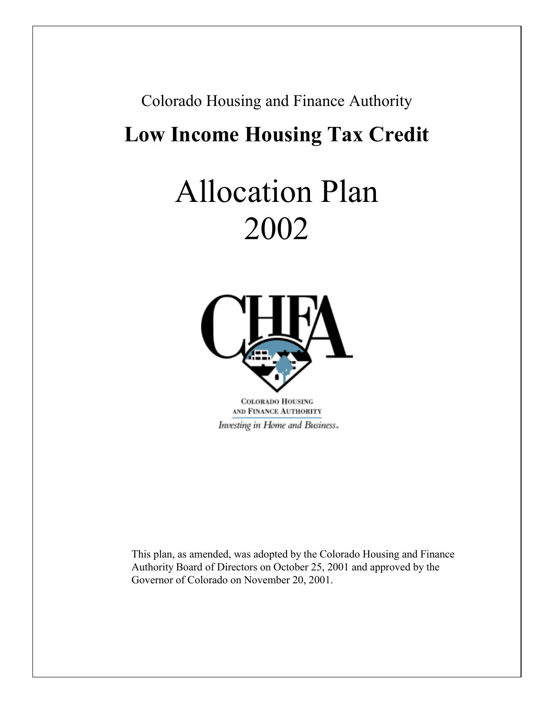## Colorado Housing and Finance Authority

# **Low Income Housing Tax Credit**

# Allocation Plan 2002



**COLORADO HOUSING** AND FINANCE AUTHORITY Investing in Home and Business.

This plan, as amended, was adopted by the Colorado Housing and Finance Authority Board of Directors on October 25, 2001 and approved by the Governor of Colorado on November 20, 2001.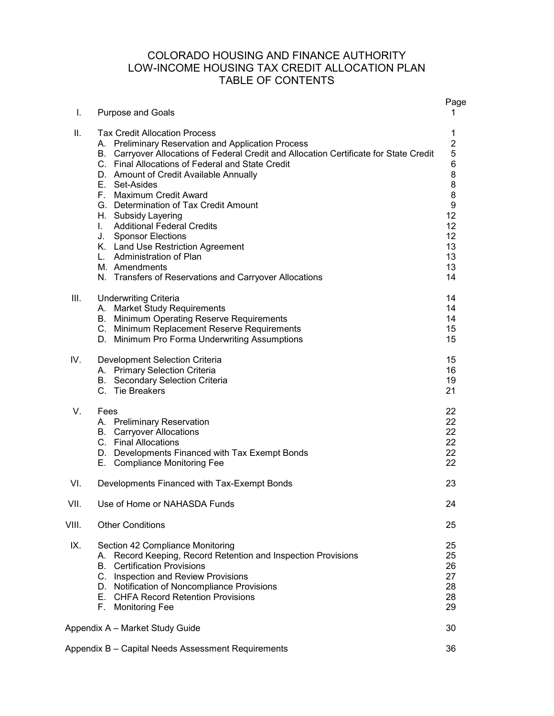### COLORADO HOUSING AND FINANCE AUTHORITY LOW-INCOME HOUSING TAX CREDIT ALLOCATION PLAN TABLE OF CONTENTS

| I.    | <b>Purpose and Goals</b>                                                                                                                                                                                                                                                                                                                                                                                                                                                                                                                                                                             | Page<br>1                                                                                                  |
|-------|------------------------------------------------------------------------------------------------------------------------------------------------------------------------------------------------------------------------------------------------------------------------------------------------------------------------------------------------------------------------------------------------------------------------------------------------------------------------------------------------------------------------------------------------------------------------------------------------------|------------------------------------------------------------------------------------------------------------|
| ΙΙ.   | <b>Tax Credit Allocation Process</b><br>A. Preliminary Reservation and Application Process<br>B. Carryover Allocations of Federal Credit and Allocation Certificate for State Credit<br>C. Final Allocations of Federal and State Credit<br>D. Amount of Credit Available Annually<br>E. Set-Asides<br>F. Maximum Credit Award<br>G. Determination of Tax Credit Amount<br>H. Subsidy Layering<br>I. Additional Federal Credits<br>J. Sponsor Elections<br>K. Land Use Restriction Agreement<br>L. Administration of Plan<br>M. Amendments<br>N. Transfers of Reservations and Carryover Allocations | 1<br>$\overline{c}$<br>5<br>6<br>8<br>8<br>8<br>$\boldsymbol{9}$<br>12<br>12<br>12<br>13<br>13<br>13<br>14 |
| Ш.    | <b>Underwriting Criteria</b><br>A. Market Study Requirements<br>B. Minimum Operating Reserve Requirements<br>C. Minimum Replacement Reserve Requirements<br>D. Minimum Pro Forma Underwriting Assumptions                                                                                                                                                                                                                                                                                                                                                                                            | 14<br>14<br>14<br>15<br>15                                                                                 |
| IV.   | Development Selection Criteria<br>A. Primary Selection Criteria<br><b>B.</b> Secondary Selection Criteria<br>C. Tie Breakers                                                                                                                                                                                                                                                                                                                                                                                                                                                                         | 15<br>16<br>19<br>21                                                                                       |
| V.    | Fees<br>A. Preliminary Reservation<br><b>B.</b> Carryover Allocations<br>C. Final Allocations<br>D. Developments Financed with Tax Exempt Bonds<br>E. Compliance Monitoring Fee                                                                                                                                                                                                                                                                                                                                                                                                                      | 22<br>22<br>22<br>22<br>22<br>22                                                                           |
| VI.   | Developments Financed with Tax-Exempt Bonds                                                                                                                                                                                                                                                                                                                                                                                                                                                                                                                                                          | 23                                                                                                         |
| VII.  | Use of Home or NAHASDA Funds                                                                                                                                                                                                                                                                                                                                                                                                                                                                                                                                                                         | 24                                                                                                         |
| VIII. | <b>Other Conditions</b>                                                                                                                                                                                                                                                                                                                                                                                                                                                                                                                                                                              | 25                                                                                                         |
| IX.   | Section 42 Compliance Monitoring<br>A. Record Keeping, Record Retention and Inspection Provisions<br><b>Certification Provisions</b><br>B.<br>C. Inspection and Review Provisions<br>D. Notification of Noncompliance Provisions<br>E. CHFA Record Retention Provisions<br>F. Monitoring Fee                                                                                                                                                                                                                                                                                                         | 25<br>25<br>26<br>27<br>28<br>28<br>29                                                                     |
|       | Appendix A - Market Study Guide                                                                                                                                                                                                                                                                                                                                                                                                                                                                                                                                                                      | 30                                                                                                         |
|       | Appendix B - Capital Needs Assessment Requirements                                                                                                                                                                                                                                                                                                                                                                                                                                                                                                                                                   | 36                                                                                                         |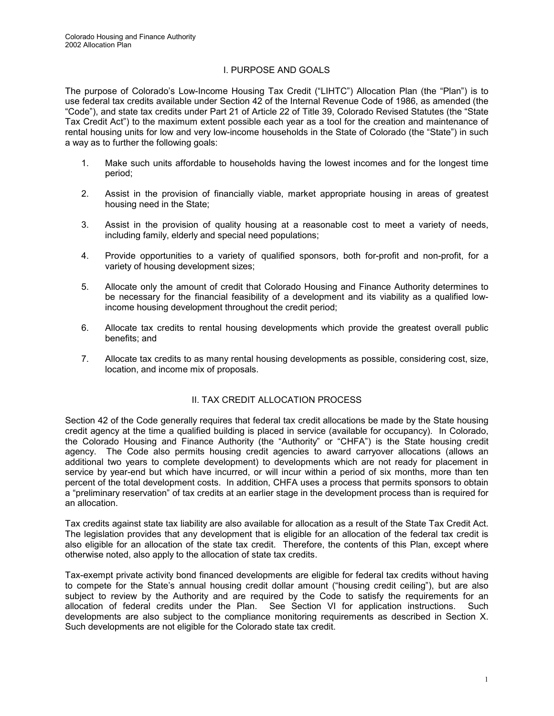#### I. PURPOSE AND GOALS

The purpose of Colorado's Low-Income Housing Tax Credit ("LIHTC") Allocation Plan (the "Plan") is to use federal tax credits available under Section 42 of the Internal Revenue Code of 1986, as amended (the "Code"), and state tax credits under Part 21 of Article 22 of Title 39, Colorado Revised Statutes (the "State Tax Credit Act") to the maximum extent possible each year as a tool for the creation and maintenance of rental housing units for low and very low-income households in the State of Colorado (the "State") in such a way as to further the following goals:

- 1. Make such units affordable to households having the lowest incomes and for the longest time period;
- 2. Assist in the provision of financially viable, market appropriate housing in areas of greatest housing need in the State;
- 3. Assist in the provision of quality housing at a reasonable cost to meet a variety of needs, including family, elderly and special need populations;
- 4. Provide opportunities to a variety of qualified sponsors, both for-profit and non-profit, for a variety of housing development sizes;
- 5. Allocate only the amount of credit that Colorado Housing and Finance Authority determines to be necessary for the financial feasibility of a development and its viability as a qualified lowincome housing development throughout the credit period;
- 6. Allocate tax credits to rental housing developments which provide the greatest overall public benefits; and
- 7. Allocate tax credits to as many rental housing developments as possible, considering cost, size, location, and income mix of proposals.

#### II. TAX CREDIT ALLOCATION PROCESS

Section 42 of the Code generally requires that federal tax credit allocations be made by the State housing credit agency at the time a qualified building is placed in service (available for occupancy). In Colorado, the Colorado Housing and Finance Authority (the "Authority" or "CHFA") is the State housing credit agency. The Code also permits housing credit agencies to award carryover allocations (allows an additional two years to complete development) to developments which are not ready for placement in service by year-end but which have incurred, or will incur within a period of six months, more than ten percent of the total development costs. In addition, CHFA uses a process that permits sponsors to obtain a "preliminary reservation" of tax credits at an earlier stage in the development process than is required for an allocation.

Tax credits against state tax liability are also available for allocation as a result of the State Tax Credit Act. The legislation provides that any development that is eligible for an allocation of the federal tax credit is also eligible for an allocation of the state tax credit. Therefore, the contents of this Plan, except where otherwise noted, also apply to the allocation of state tax credits.

Tax-exempt private activity bond financed developments are eligible for federal tax credits without having to compete for the State's annual housing credit dollar amount ("housing credit ceiling"), but are also subject to review by the Authority and are required by the Code to satisfy the requirements for an allocation of federal credits under the Plan. See Section VI for application instructions. Such developments are also subject to the compliance monitoring requirements as described in Section X. Such developments are not eligible for the Colorado state tax credit.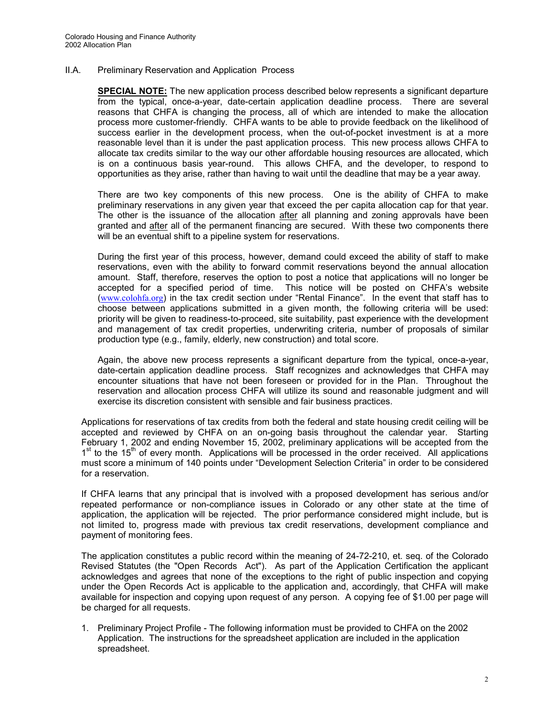II.A. Preliminary Reservation and Application Process

**SPECIAL NOTE:** The new application process described below represents a significant departure from the typical, once-a-year, date-certain application deadline process. There are several reasons that CHFA is changing the process, all of which are intended to make the allocation process more customer-friendly. CHFA wants to be able to provide feedback on the likelihood of success earlier in the development process, when the out-of-pocket investment is at a more reasonable level than it is under the past application process. This new process allows CHFA to allocate tax credits similar to the way our other affordable housing resources are allocated, which is on a continuous basis year-round. This allows CHFA, and the developer, to respond to opportunities as they arise, rather than having to wait until the deadline that may be a year away.

There are two key components of this new process. One is the ability of CHFA to make preliminary reservations in any given year that exceed the per capita allocation cap for that year. The other is the issuance of the allocation after all planning and zoning approvals have been granted and after all of the permanent financing are secured. With these two components there will be an eventual shift to a pipeline system for reservations.

During the first year of this process, however, demand could exceed the ability of staff to make reservations, even with the ability to forward commit reservations beyond the annual allocation amount. Staff, therefore, reserves the option to post a notice that applications will no longer be accepted for a specified period of time. This notice will be posted on CHFA's website ([www.colohfa.org](http://www.colohfa.org/)) in the tax credit section under "Rental Finance". In the event that staff has to choose between applications submitted in a given month, the following criteria will be used: priority will be given to readiness-to-proceed, site suitability, past experience with the development and management of tax credit properties, underwriting criteria, number of proposals of similar production type (e.g., family, elderly, new construction) and total score.

Again, the above new process represents a significant departure from the typical, once-a-year, date-certain application deadline process. Staff recognizes and acknowledges that CHFA may encounter situations that have not been foreseen or provided for in the Plan. Throughout the reservation and allocation process CHFA will utilize its sound and reasonable judgment and will exercise its discretion consistent with sensible and fair business practices.

Applications for reservations of tax credits from both the federal and state housing credit ceiling will be accepted and reviewed by CHFA on an on-going basis throughout the calendar year. Starting February 1, 2002 and ending November 15, 2002, preliminary applications will be accepted from the 1<sup>st</sup> to the 15<sup>th</sup> of every month. Applications will be processed in the order received. All applications must score a minimum of 140 points under "Development Selection Criteria" in order to be considered for a reservation.

If CHFA learns that any principal that is involved with a proposed development has serious and/or repeated performance or non-compliance issues in Colorado or any other state at the time of application, the application will be rejected. The prior performance considered might include, but is not limited to, progress made with previous tax credit reservations, development compliance and payment of monitoring fees.

The application constitutes a public record within the meaning of 24-72-210, et. seq. of the Colorado Revised Statutes (the "Open Records Act"). As part of the Application Certification the applicant acknowledges and agrees that none of the exceptions to the right of public inspection and copying under the Open Records Act is applicable to the application and, accordingly, that CHFA will make available for inspection and copying upon request of any person. A copying fee of \$1.00 per page will be charged for all requests.

1. Preliminary Project Profile - The following information must be provided to CHFA on the 2002 Application. The instructions for the spreadsheet application are included in the application spreadsheet.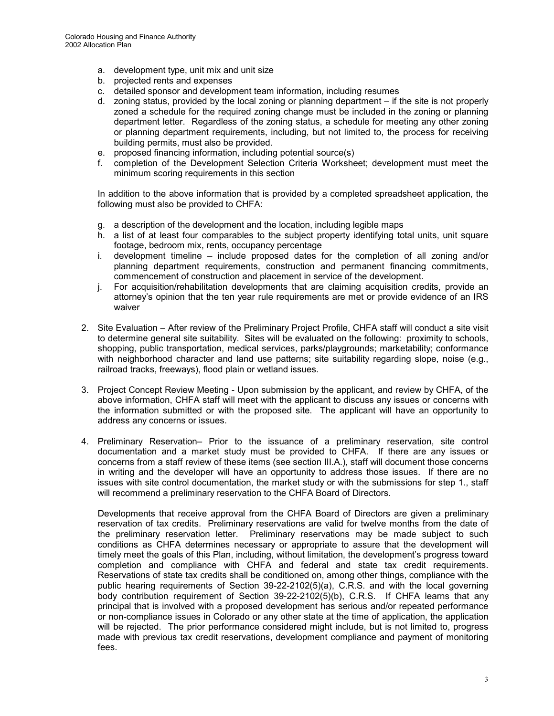- a. development type, unit mix and unit size
- b. projected rents and expenses
- c. detailed sponsor and development team information, including resumes
- d. zoning status, provided by the local zoning or planning department if the site is not properly zoned a schedule for the required zoning change must be included in the zoning or planning department letter. Regardless of the zoning status, a schedule for meeting any other zoning or planning department requirements, including, but not limited to, the process for receiving building permits, must also be provided.
- e. proposed financing information, including potential source(s)
- f. completion of the Development Selection Criteria Worksheet; development must meet the minimum scoring requirements in this section

In addition to the above information that is provided by a completed spreadsheet application, the following must also be provided to CHFA:

- g. a description of the development and the location, including legible maps
- h. a list of at least four comparables to the subject property identifying total units, unit square footage, bedroom mix, rents, occupancy percentage
- i. development timeline include proposed dates for the completion of all zoning and/or planning department requirements, construction and permanent financing commitments, commencement of construction and placement in service of the development.
- j. For acquisition/rehabilitation developments that are claiming acquisition credits, provide an attorney's opinion that the ten year rule requirements are met or provide evidence of an IRS waiver
- 2. Site Evaluation After review of the Preliminary Project Profile, CHFA staff will conduct a site visit to determine general site suitability. Sites will be evaluated on the following: proximity to schools, shopping, public transportation, medical services, parks/playgrounds; marketability; conformance with neighborhood character and land use patterns; site suitability regarding slope, noise (e.g., railroad tracks, freeways), flood plain or wetland issues.
- 3. Project Concept Review Meeting Upon submission by the applicant, and review by CHFA, of the above information, CHFA staff will meet with the applicant to discuss any issues or concerns with the information submitted or with the proposed site. The applicant will have an opportunity to address any concerns or issues.
- 4. Preliminary Reservation– Prior to the issuance of a preliminary reservation, site control documentation and a market study must be provided to CHFA. If there are any issues or concerns from a staff review of these items (see section III.A.), staff will document those concerns in writing and the developer will have an opportunity to address those issues. If there are no issues with site control documentation, the market study or with the submissions for step 1., staff will recommend a preliminary reservation to the CHFA Board of Directors.

Developments that receive approval from the CHFA Board of Directors are given a preliminary reservation of tax credits. Preliminary reservations are valid for twelve months from the date of the preliminary reservation letter. Preliminary reservations may be made subject to such conditions as CHFA determines necessary or appropriate to assure that the development will timely meet the goals of this Plan, including, without limitation, the development's progress toward completion and compliance with CHFA and federal and state tax credit requirements. Reservations of state tax credits shall be conditioned on, among other things, compliance with the public hearing requirements of Section 39-22-2102(5)(a), C.R.S. and with the local governing body contribution requirement of Section 39-22-2102(5)(b), C.R.S. If CHFA learns that any principal that is involved with a proposed development has serious and/or repeated performance or non-compliance issues in Colorado or any other state at the time of application, the application will be rejected. The prior performance considered might include, but is not limited to, progress made with previous tax credit reservations, development compliance and payment of monitoring fees.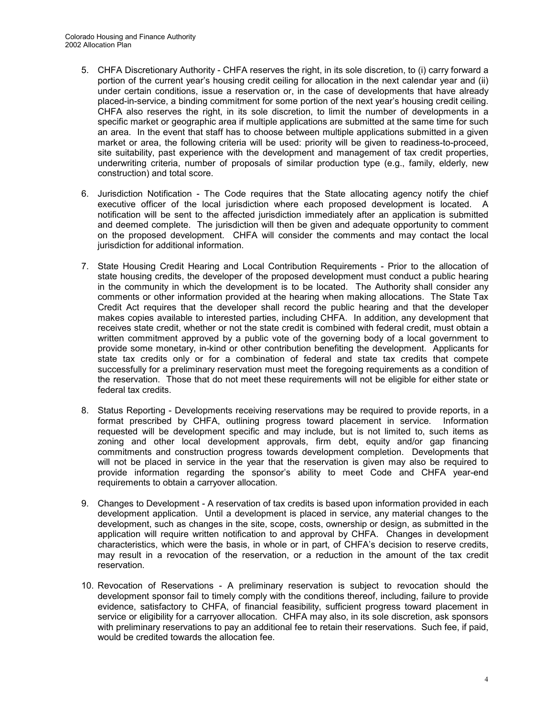- 5. CHFA Discretionary Authority CHFA reserves the right, in its sole discretion, to (i) carry forward a portion of the current year's housing credit ceiling for allocation in the next calendar year and (ii) under certain conditions, issue a reservation or, in the case of developments that have already placed-in-service, a binding commitment for some portion of the next year's housing credit ceiling. CHFA also reserves the right, in its sole discretion, to limit the number of developments in a specific market or geographic area if multiple applications are submitted at the same time for such an area. In the event that staff has to choose between multiple applications submitted in a given market or area, the following criteria will be used: priority will be given to readiness-to-proceed, site suitability, past experience with the development and management of tax credit properties, underwriting criteria, number of proposals of similar production type (e.g., family, elderly, new construction) and total score.
- 6. Jurisdiction Notification The Code requires that the State allocating agency notify the chief executive officer of the local jurisdiction where each proposed development is located. A notification will be sent to the affected jurisdiction immediately after an application is submitted and deemed complete. The jurisdiction will then be given and adequate opportunity to comment on the proposed development. CHFA will consider the comments and may contact the local jurisdiction for additional information.
- 7. State Housing Credit Hearing and Local Contribution Requirements Prior to the allocation of state housing credits, the developer of the proposed development must conduct a public hearing in the community in which the development is to be located. The Authority shall consider any comments or other information provided at the hearing when making allocations. The State Tax Credit Act requires that the developer shall record the public hearing and that the developer makes copies available to interested parties, including CHFA. In addition, any development that receives state credit, whether or not the state credit is combined with federal credit, must obtain a written commitment approved by a public vote of the governing body of a local government to provide some monetary, in-kind or other contribution benefiting the development. Applicants for state tax credits only or for a combination of federal and state tax credits that compete successfully for a preliminary reservation must meet the foregoing requirements as a condition of the reservation. Those that do not meet these requirements will not be eligible for either state or federal tax credits.
- 8. Status Reporting Developments receiving reservations may be required to provide reports, in a format prescribed by CHFA, outlining progress toward placement in service. Information requested will be development specific and may include, but is not limited to, such items as zoning and other local development approvals, firm debt, equity and/or gap financing commitments and construction progress towards development completion. Developments that will not be placed in service in the year that the reservation is given may also be required to provide information regarding the sponsor's ability to meet Code and CHFA year-end requirements to obtain a carryover allocation.
- 9. Changes to Development A reservation of tax credits is based upon information provided in each development application. Until a development is placed in service, any material changes to the development, such as changes in the site, scope, costs, ownership or design, as submitted in the application will require written notification to and approval by CHFA. Changes in development characteristics, which were the basis, in whole or in part, of CHFA's decision to reserve credits, may result in a revocation of the reservation, or a reduction in the amount of the tax credit reservation.
- 10. Revocation of Reservations A preliminary reservation is subject to revocation should the development sponsor fail to timely comply with the conditions thereof, including, failure to provide evidence, satisfactory to CHFA, of financial feasibility, sufficient progress toward placement in service or eligibility for a carryover allocation. CHFA may also, in its sole discretion, ask sponsors with preliminary reservations to pay an additional fee to retain their reservations. Such fee, if paid, would be credited towards the allocation fee.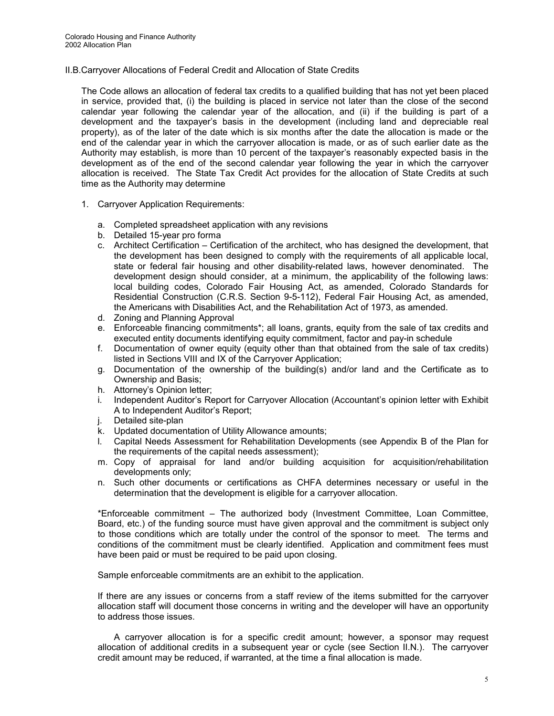II.B.Carryover Allocations of Federal Credit and Allocation of State Credits

The Code allows an allocation of federal tax credits to a qualified building that has not yet been placed in service, provided that, (i) the building is placed in service not later than the close of the second calendar year following the calendar year of the allocation, and (ii) if the building is part of a development and the taxpayer's basis in the development (including land and depreciable real property), as of the later of the date which is six months after the date the allocation is made or the end of the calendar year in which the carryover allocation is made, or as of such earlier date as the Authority may establish, is more than 10 percent of the taxpayer's reasonably expected basis in the development as of the end of the second calendar year following the year in which the carryover allocation is received. The State Tax Credit Act provides for the allocation of State Credits at such time as the Authority may determine

- 1. Carryover Application Requirements:
	- a. Completed spreadsheet application with any revisions
	- b. Detailed 15-year pro forma
	- c. Architect Certification Certification of the architect, who has designed the development, that the development has been designed to comply with the requirements of all applicable local, state or federal fair housing and other disability-related laws, however denominated. The development design should consider, at a minimum, the applicability of the following laws: local building codes, Colorado Fair Housing Act, as amended, Colorado Standards for Residential Construction (C.R.S. Section 9-5-112), Federal Fair Housing Act, as amended, the Americans with Disabilities Act, and the Rehabilitation Act of 1973, as amended.
	- d. Zoning and Planning Approval
	- e. Enforceable financing commitments\*; all loans, grants, equity from the sale of tax credits and executed entity documents identifying equity commitment, factor and pay-in schedule
	- f. Documentation of owner equity (equity other than that obtained from the sale of tax credits) listed in Sections VIII and IX of the Carryover Application;
	- g. Documentation of the ownership of the building(s) and/or land and the Certificate as to Ownership and Basis;
	- h. Attorney's Opinion letter;
	- i. Independent Auditor's Report for Carryover Allocation (Accountant's opinion letter with Exhibit A to Independent Auditor's Report;
	- j. Detailed site-plan
	- k. Updated documentation of Utility Allowance amounts;
	- l. Capital Needs Assessment for Rehabilitation Developments (see Appendix B of the Plan for the requirements of the capital needs assessment);
	- m. Copy of appraisal for land and/or building acquisition for acquisition/rehabilitation developments only;
	- n. Such other documents or certifications as CHFA determines necessary or useful in the determination that the development is eligible for a carryover allocation.

\*Enforceable commitment – The authorized body (Investment Committee, Loan Committee, Board, etc.) of the funding source must have given approval and the commitment is subject only to those conditions which are totally under the control of the sponsor to meet. The terms and conditions of the commitment must be clearly identified. Application and commitment fees must have been paid or must be required to be paid upon closing.

Sample enforceable commitments are an exhibit to the application.

If there are any issues or concerns from a staff review of the items submitted for the carryover allocation staff will document those concerns in writing and the developer will have an opportunity to address those issues.

A carryover allocation is for a specific credit amount; however, a sponsor may request allocation of additional credits in a subsequent year or cycle (see Section II.N.). The carryover credit amount may be reduced, if warranted, at the time a final allocation is made.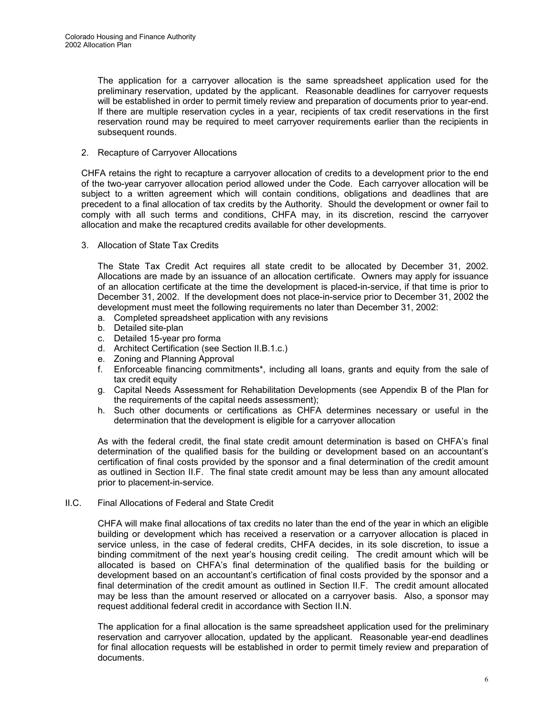The application for a carryover allocation is the same spreadsheet application used for the preliminary reservation, updated by the applicant. Reasonable deadlines for carryover requests will be established in order to permit timely review and preparation of documents prior to year-end. If there are multiple reservation cycles in a year, recipients of tax credit reservations in the first reservation round may be required to meet carryover requirements earlier than the recipients in subsequent rounds.

#### 2. Recapture of Carryover Allocations

CHFA retains the right to recapture a carryover allocation of credits to a development prior to the end of the two-year carryover allocation period allowed under the Code. Each carryover allocation will be subject to a written agreement which will contain conditions, obligations and deadlines that are precedent to a final allocation of tax credits by the Authority. Should the development or owner fail to comply with all such terms and conditions, CHFA may, in its discretion, rescind the carryover allocation and make the recaptured credits available for other developments.

3. Allocation of State Tax Credits

The State Tax Credit Act requires all state credit to be allocated by December 31, 2002. Allocations are made by an issuance of an allocation certificate. Owners may apply for issuance of an allocation certificate at the time the development is placed-in-service, if that time is prior to December 31, 2002. If the development does not place-in-service prior to December 31, 2002 the development must meet the following requirements no later than December 31, 2002:

- a. Completed spreadsheet application with any revisions
- b. Detailed site-plan
- c. Detailed 15-year pro forma
- d. Architect Certification (see Section II.B.1.c.)
- e. Zoning and Planning Approval
- f. Enforceable financing commitments\*, including all loans, grants and equity from the sale of tax credit equity
- g. Capital Needs Assessment for Rehabilitation Developments (see Appendix B of the Plan for the requirements of the capital needs assessment);
- h. Such other documents or certifications as CHFA determines necessary or useful in the determination that the development is eligible for a carryover allocation

As with the federal credit, the final state credit amount determination is based on CHFA's final determination of the qualified basis for the building or development based on an accountant's certification of final costs provided by the sponsor and a final determination of the credit amount as outlined in Section II.F. The final state credit amount may be less than any amount allocated prior to placement-in-service.

II.C. Final Allocations of Federal and State Credit

CHFA will make final allocations of tax credits no later than the end of the year in which an eligible building or development which has received a reservation or a carryover allocation is placed in service unless, in the case of federal credits, CHFA decides, in its sole discretion, to issue a binding commitment of the next year's housing credit ceiling. The credit amount which will be allocated is based on CHFA's final determination of the qualified basis for the building or development based on an accountant's certification of final costs provided by the sponsor and a final determination of the credit amount as outlined in Section II.F. The credit amount allocated may be less than the amount reserved or allocated on a carryover basis. Also, a sponsor may request additional federal credit in accordance with Section II.N.

The application for a final allocation is the same spreadsheet application used for the preliminary reservation and carryover allocation, updated by the applicant. Reasonable year-end deadlines for final allocation requests will be established in order to permit timely review and preparation of documents.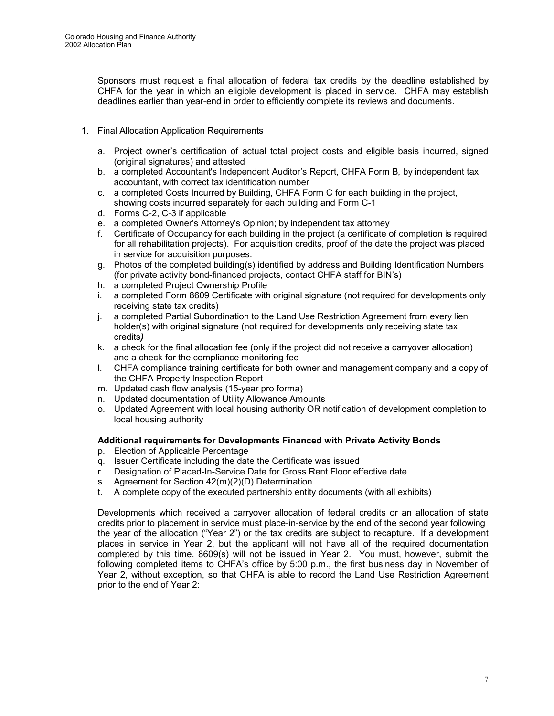Sponsors must request a final allocation of federal tax credits by the deadline established by CHFA for the year in which an eligible development is placed in service. CHFA may establish deadlines earlier than year-end in order to efficiently complete its reviews and documents.

- 1. Final Allocation Application Requirements
	- a. Project owner's certification of actual total project costs and eligible basis incurred, signed (original signatures) and attested
	- b. a completed Accountant's Independent Auditor's Report, CHFA Form B*,* by independent tax accountant, with correct tax identification number
	- c. a completed Costs Incurred by Building, CHFA Form C for each building in the project, showing costs incurred separately for each building and Form C-1
	- d. Forms C-2, C-3 if applicable
	- e. a completed Owner's Attorney's Opinion; by independent tax attorney
	- f. Certificate of Occupancy for each building in the project (a certificate of completion is required for all rehabilitation projects). For acquisition credits, proof of the date the project was placed in service for acquisition purposes.
	- g. Photos of the completed building(s) identified by address and Building Identification Numbers (for private activity bond-financed projects, contact CHFA staff for BIN's)
	- h. a completed Project Ownership Profile
	- i. a completed Form 8609 Certificate with original signature (not required for developments only receiving state tax credits)
	- j. a completed Partial Subordination to the Land Use Restriction Agreement from every lien holder(s) with original signature (not required for developments only receiving state tax credits*)*
	- k. a check for the final allocation fee (only if the project did not receive a carryover allocation) and a check for the compliance monitoring fee
	- l. CHFA compliance training certificate for both owner and management company and a copy of the CHFA Property Inspection Report
	- m. Updated cash flow analysis (15-year pro forma)
	- n. Updated documentation of Utility Allowance Amounts
	- o. Updated Agreement with local housing authority OR notification of development completion to local housing authority

#### **Additional requirements for Developments Financed with Private Activity Bonds**

- p. Election of Applicable Percentage
- q. Issuer Certificate including the date the Certificate was issued
- r. Designation of Placed-In-Service Date for Gross Rent Floor effective date
- s. Agreement for Section 42(m)(2)(D) Determination
- t. A complete copy of the executed partnership entity documents (with all exhibits)

Developments which received a carryover allocation of federal credits or an allocation of state credits prior to placement in service must place-in-service by the end of the second year following the year of the allocation ("Year 2") or the tax credits are subject to recapture. If a development places in service in Year 2, but the applicant will not have all of the required documentation completed by this time, 8609(s) will not be issued in Year 2. You must, however, submit the following completed items to CHFA's office by 5:00 p.m., the first business day in November of Year 2, without exception, so that CHFA is able to record the Land Use Restriction Agreement prior to the end of Year 2: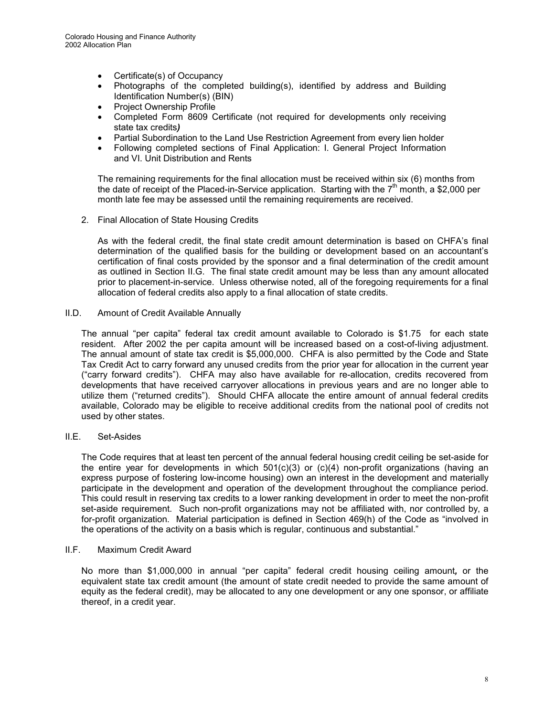- Certificate(s) of Occupancy
- Photographs of the completed building(s), identified by address and Building Identification Number(s) (BIN)
- Project Ownership Profile
- Completed Form 8609 Certificate (not required for developments only receiving state tax credits*)*
- Partial Subordination to the Land Use Restriction Agreement from every lien holder
- Following completed sections of Final Application: I. General Project Information and VI. Unit Distribution and Rents

The remaining requirements for the final allocation must be received within six (6) months from the date of receipt of the Placed-in-Service application. Starting with the  $7<sup>th</sup>$  month, a \$2,000 per month late fee may be assessed until the remaining requirements are received.

2. Final Allocation of State Housing Credits

As with the federal credit, the final state credit amount determination is based on CHFA's final determination of the qualified basis for the building or development based on an accountant's certification of final costs provided by the sponsor and a final determination of the credit amount as outlined in Section II.G. The final state credit amount may be less than any amount allocated prior to placement-in-service. Unless otherwise noted, all of the foregoing requirements for a final allocation of federal credits also apply to a final allocation of state credits.

II.D. Amount of Credit Available Annually

The annual "per capita" federal tax credit amount available to Colorado is \$1.75 for each state resident. After 2002 the per capita amount will be increased based on a cost-of-living adjustment. The annual amount of state tax credit is \$5,000,000. CHFA is also permitted by the Code and State Tax Credit Act to carry forward any unused credits from the prior year for allocation in the current year ("carry forward credits"). CHFA may also have available for re-allocation, credits recovered from developments that have received carryover allocations in previous years and are no longer able to utilize them ("returned credits"). Should CHFA allocate the entire amount of annual federal credits available, Colorado may be eligible to receive additional credits from the national pool of credits not used by other states.

#### II.E. Set-Asides

The Code requires that at least ten percent of the annual federal housing credit ceiling be set-aside for the entire year for developments in which  $501(c)(3)$  or  $(c)(4)$  non-profit organizations (having an express purpose of fostering low-income housing) own an interest in the development and materially participate in the development and operation of the development throughout the compliance period. This could result in reserving tax credits to a lower ranking development in order to meet the non-profit set-aside requirement. Such non-profit organizations may not be affiliated with, nor controlled by, a for-profit organization. Material participation is defined in Section 469(h) of the Code as "involved in the operations of the activity on a basis which is regular, continuous and substantial."

#### II.F. Maximum Credit Award

No more than \$1,000,000 in annual "per capita" federal credit housing ceiling amount*,* or the equivalent state tax credit amount (the amount of state credit needed to provide the same amount of equity as the federal credit), may be allocated to any one development or any one sponsor, or affiliate thereof, in a credit year.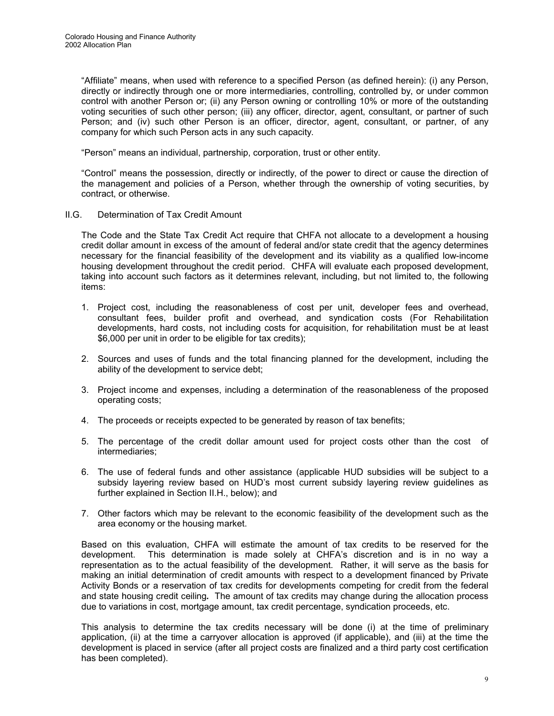"Affiliate" means, when used with reference to a specified Person (as defined herein): (i) any Person, directly or indirectly through one or more intermediaries, controlling, controlled by, or under common control with another Person or; (ii) any Person owning or controlling 10% or more of the outstanding voting securities of such other person; (iii) any officer, director, agent, consultant, or partner of such Person; and (iv) such other Person is an officer, director, agent, consultant, or partner, of any company for which such Person acts in any such capacity.

"Person" means an individual, partnership, corporation, trust or other entity.

"Control" means the possession, directly or indirectly, of the power to direct or cause the direction of the management and policies of a Person, whether through the ownership of voting securities, by contract, or otherwise.

II.G. Determination of Tax Credit Amount

The Code and the State Tax Credit Act require that CHFA not allocate to a development a housing credit dollar amount in excess of the amount of federal and/or state credit that the agency determines necessary for the financial feasibility of the development and its viability as a qualified low-income housing development throughout the credit period. CHFA will evaluate each proposed development, taking into account such factors as it determines relevant, including, but not limited to, the following items:

- 1. Project cost, including the reasonableness of cost per unit, developer fees and overhead, consultant fees, builder profit and overhead, and syndication costs (For Rehabilitation developments, hard costs, not including costs for acquisition, for rehabilitation must be at least \$6,000 per unit in order to be eligible for tax credits);
- 2. Sources and uses of funds and the total financing planned for the development, including the ability of the development to service debt;
- 3. Project income and expenses, including a determination of the reasonableness of the proposed operating costs;
- 4. The proceeds or receipts expected to be generated by reason of tax benefits;
- 5. The percentage of the credit dollar amount used for project costs other than the cost of intermediaries;
- 6. The use of federal funds and other assistance (applicable HUD subsidies will be subject to a subsidy layering review based on HUD's most current subsidy layering review guidelines as further explained in Section II.H., below); and
- 7. Other factors which may be relevant to the economic feasibility of the development such as the area economy or the housing market.

Based on this evaluation, CHFA will estimate the amount of tax credits to be reserved for the development. This determination is made solely at CHFA's discretion and is in no way a representation as to the actual feasibility of the development. Rather, it will serve as the basis for making an initial determination of credit amounts with respect to a development financed by Private Activity Bonds or a reservation of tax credits for developments competing for credit from the federal and state housing credit ceiling*.* The amount of tax credits may change during the allocation process due to variations in cost, mortgage amount, tax credit percentage, syndication proceeds, etc.

This analysis to determine the tax credits necessary will be done (i) at the time of preliminary application, (ii) at the time a carryover allocation is approved (if applicable), and (iii) at the time the development is placed in service (after all project costs are finalized and a third party cost certification has been completed).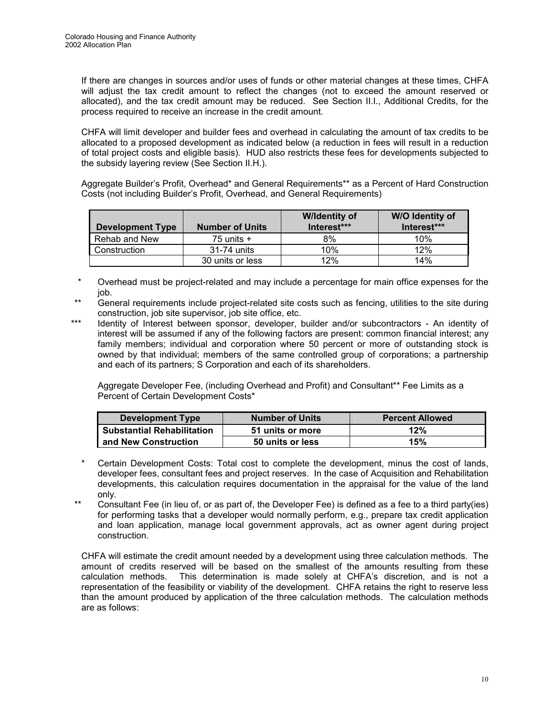If there are changes in sources and/or uses of funds or other material changes at these times, CHFA will adjust the tax credit amount to reflect the changes (not to exceed the amount reserved or allocated), and the tax credit amount may be reduced. See Section II.I., Additional Credits, for the process required to receive an increase in the credit amount.

CHFA will limit developer and builder fees and overhead in calculating the amount of tax credits to be allocated to a proposed development as indicated below (a reduction in fees will result in a reduction of total project costs and eligible basis). HUD also restricts these fees for developments subjected to the subsidy layering review (See Section II.H.).

Aggregate Builder's Profit, Overhead\* and General Requirements\*\* as a Percent of Hard Construction Costs (not including Builder's Profit, Overhead, and General Requirements)

| <b>Development Type</b> | <b>Number of Units</b> | <b>W</b> /Identity of<br>Interest*** | W/O Identity of<br>Interest*** |
|-------------------------|------------------------|--------------------------------------|--------------------------------|
| Rehab and New           | 75 units $+$           | 8%                                   | 10%                            |
| Construction            | 31-74 units            | 10%                                  | 12%                            |
|                         | 30 units or less       | 12%                                  | 14%                            |

- Overhead must be project-related and may include a percentage for main office expenses for the job.
- General requirements include project-related site costs such as fencing, utilities to the site during construction, job site supervisor, job site office, etc.
- \*\*\* Identity of Interest between sponsor, developer, builder and/or subcontractors An identity of interest will be assumed if any of the following factors are present: common financial interest; any family members; individual and corporation where 50 percent or more of outstanding stock is owned by that individual; members of the same controlled group of corporations; a partnership and each of its partners; S Corporation and each of its shareholders.

 Aggregate Developer Fee, (including Overhead and Profit) and Consultant\*\* Fee Limits as a Percent of Certain Development Costs\*

| Development Type                  | <b>Number of Units</b> | <b>Percent Allowed</b> |
|-----------------------------------|------------------------|------------------------|
| <b>Substantial Rehabilitation</b> | 51 units or more       | 12%                    |
| and New Construction              | 50 units or less       | 15%                    |

- Certain Development Costs: Total cost to complete the development, minus the cost of lands, developer fees, consultant fees and project reserves. In the case of Acquisition and Rehabilitation developments, this calculation requires documentation in the appraisal for the value of the land only.
- \*\* Consultant Fee (in lieu of, or as part of, the Developer Fee) is defined as a fee to a third party(ies) for performing tasks that a developer would normally perform, e.g., prepare tax credit application and loan application, manage local government approvals, act as owner agent during project construction.

CHFA will estimate the credit amount needed by a development using three calculation methods. The amount of credits reserved will be based on the smallest of the amounts resulting from these calculation methods. This determination is made solely at CHFA's discretion, and is not a representation of the feasibility or viability of the development. CHFA retains the right to reserve less than the amount produced by application of the three calculation methods. The calculation methods are as follows: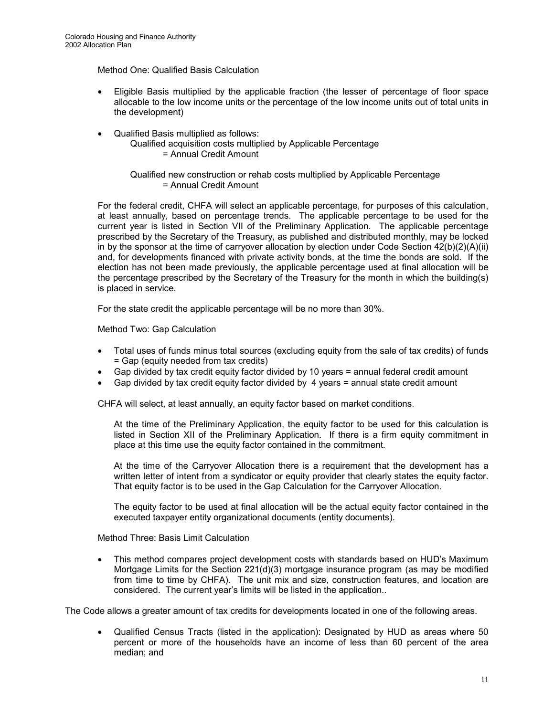#### Method One: Qualified Basis Calculation

- $\bullet$  Eligible Basis multiplied by the applicable fraction (the lesser of percentage of floor space allocable to the low income units or the percentage of the low income units out of total units in the development)
- -Qualified Basis multiplied as follows:

Qualified acquisition costs multiplied by Applicable Percentage = Annual Credit Amount

Qualified new construction or rehab costs multiplied by Applicable Percentage = Annual Credit Amount

For the federal credit, CHFA will select an applicable percentage, for purposes of this calculation, at least annually, based on percentage trends. The applicable percentage to be used for the current year is listed in Section VII of the Preliminary Application. The applicable percentage prescribed by the Secretary of the Treasury, as published and distributed monthly, may be locked in by the sponsor at the time of carryover allocation by election under Code Section 42(b)(2)(A)(ii) and, for developments financed with private activity bonds, at the time the bonds are sold. If the election has not been made previously, the applicable percentage used at final allocation will be the percentage prescribed by the Secretary of the Treasury for the month in which the building(s) is placed in service.

For the state credit the applicable percentage will be no more than 30%.

Method Two: Gap Calculation

- $\bullet$  Total uses of funds minus total sources (excluding equity from the sale of tax credits) of funds = Gap (equity needed from tax credits)
- -Gap divided by tax credit equity factor divided by 10 years = annual federal credit amount
- -Gap divided by tax credit equity factor divided by 4 years = annual state credit amount

CHFA will select, at least annually, an equity factor based on market conditions.

At the time of the Preliminary Application, the equity factor to be used for this calculation is listed in Section XII of the Preliminary Application. If there is a firm equity commitment in place at this time use the equity factor contained in the commitment.

At the time of the Carryover Allocation there is a requirement that the development has a written letter of intent from a syndicator or equity provider that clearly states the equity factor. That equity factor is to be used in the Gap Calculation for the Carryover Allocation.

The equity factor to be used at final allocation will be the actual equity factor contained in the executed taxpayer entity organizational documents (entity documents).

Method Three: Basis Limit Calculation

 $\bullet$  This method compares project development costs with standards based on HUD's Maximum Mortgage Limits for the Section 221(d)(3) mortgage insurance program (as may be modified from time to time by CHFA). The unit mix and size, construction features, and location are considered. The current year's limits will be listed in the application..

The Code allows a greater amount of tax credits for developments located in one of the following areas.

 $\bullet$  Qualified Census Tracts (listed in the application): Designated by HUD as areas where 50 percent or more of the households have an income of less than 60 percent of the area median; and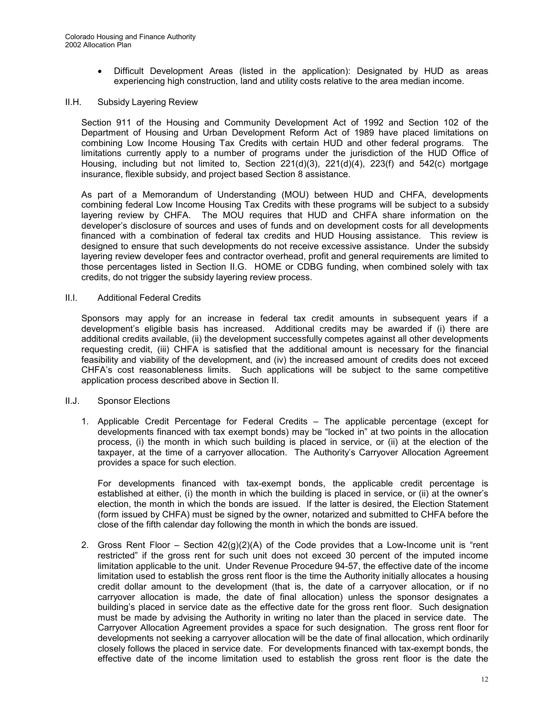- Difficult Development Areas (listed in the application): Designated by HUD as areas experiencing high construction, land and utility costs relative to the area median income.

#### II.H. Subsidy Layering Review

Section 911 of the Housing and Community Development Act of 1992 and Section 102 of the Department of Housing and Urban Development Reform Act of 1989 have placed limitations on combining Low Income Housing Tax Credits with certain HUD and other federal programs. The limitations currently apply to a number of programs under the jurisdiction of the HUD Office of Housing, including but not limited to, Section 221(d)(3), 221(d)(4), 223(f) and 542(c) mortgage insurance, flexible subsidy, and project based Section 8 assistance.

As part of a Memorandum of Understanding (MOU) between HUD and CHFA, developments combining federal Low Income Housing Tax Credits with these programs will be subject to a subsidy layering review by CHFA. The MOU requires that HUD and CHFA share information on the developer's disclosure of sources and uses of funds and on development costs for all developments financed with a combination of federal tax credits and HUD Housing assistance.This review is designed to ensure that such developments do not receive excessive assistance. Under the subsidy layering review developer fees and contractor overhead, profit and general requirements are limited to those percentages listed in Section II.G. HOME or CDBG funding, when combined solely with tax credits, do not trigger the subsidy layering review process.

#### II.I. Additional Federal Credits

Sponsors may apply for an increase in federal tax credit amounts in subsequent years if a development's eligible basis has increased. Additional credits may be awarded if (i) there are additional credits available, (ii) the development successfully competes against all other developments requesting credit, (iii) CHFA is satisfied that the additional amount is necessary for the financial feasibility and viability of the development, and (iv) the increased amount of credits does not exceed CHFA's cost reasonableness limits. Such applications will be subject to the same competitive application process described above in Section II.

#### II.J. Sponsor Elections

1. Applicable Credit Percentage for Federal Credits – The applicable percentage (except for developments financed with tax exempt bonds) may be "locked in" at two points in the allocation process, (i) the month in which such building is placed in service, or (ii) at the election of the taxpayer, at the time of a carryover allocation. The Authority's Carryover Allocation Agreement provides a space for such election.

For developments financed with tax-exempt bonds, the applicable credit percentage is established at either, (i) the month in which the building is placed in service, or (ii) at the owner's election, the month in which the bonds are issued. If the latter is desired, the Election Statement (form issued by CHFA) must be signed by the owner, notarized and submitted to CHFA before the close of the fifth calendar day following the month in which the bonds are issued.

2. Gross Rent Floor *–* Section 42(g)(2)(A) of the Code provides that a Low-Income unit is "rent restricted" if the gross rent for such unit does not exceed 30 percent of the imputed income limitation applicable to the unit. Under Revenue Procedure 94-57, the effective date of the income limitation used to establish the gross rent floor is the time the Authority initially allocates a housing credit dollar amount to the development (that is, the date of a carryover allocation, or if no carryover allocation is made, the date of final allocation) unless the sponsor designates a building's placed in service date as the effective date for the gross rent floor. Such designation must be made by advising the Authority in writing no later than the placed in service date. The Carryover Allocation Agreement provides a space for such designation. The gross rent floor for developments not seeking a carryover allocation will be the date of final allocation, which ordinarily closely follows the placed in service date. For developments financed with tax-exempt bonds, the effective date of the income limitation used to establish the gross rent floor is the date the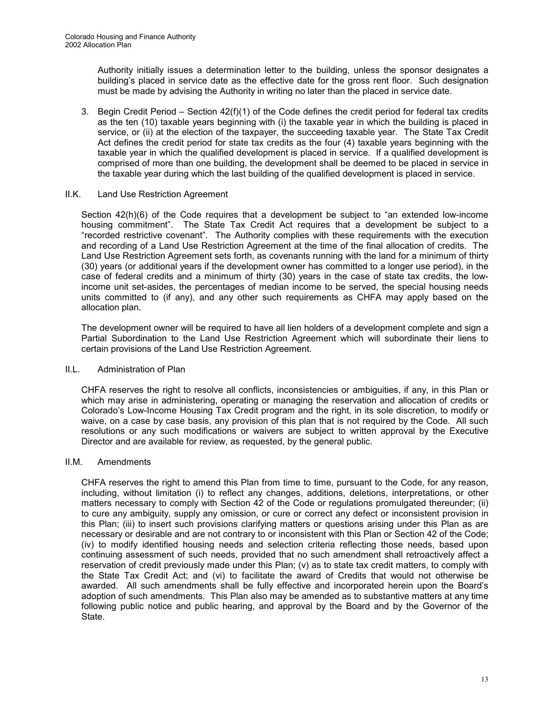Authority initially issues a determination letter to the building, unless the sponsor designates a building's placed in service date as the effective date for the gross rent floor. Such designation must be made by advising the Authority in writing no later than the placed in service date.

3. Begin Credit Period *–* Section 42(f)(1) of the Code defines the credit period for federal tax credits as the ten (10) taxable years beginning with (i) the taxable year in which the building is placed in service, or (ii) at the election of the taxpayer, the succeeding taxable year. The State Tax Credit Act defines the credit period for state tax credits as the four (4) taxable years beginning with the taxable year in which the qualified development is placed in service. If a qualified development is comprised of more than one building, the development shall be deemed to be placed in service in the taxable year during which the last building of the qualified development is placed in service.

#### II.K. Land Use Restriction Agreement

Section 42(h)(6) of the Code requires that a development be subject to "an extended low-income housing commitment". The State Tax Credit Act requires that a development be subject to a "recorded restrictive covenant".The Authority complies with these requirements with the execution and recording of a Land Use Restriction Agreement at the time of the final allocation of credits. The Land Use Restriction Agreement sets forth, as covenants running with the land for a minimum of thirty (30) years (or additional years if the development owner has committed to a longer use period), in the case of federal credits and a minimum of thirty (30) years in the case of state tax credits, the lowincome unit set-asides, the percentages of median income to be served, the special housing needs units committed to (if any), and any other such requirements as CHFA may apply based on the allocation plan.

The development owner will be required to have all lien holders of a development complete and sign a Partial Subordination to the Land Use Restriction Agreement which will subordinate their liens to certain provisions of the Land Use Restriction Agreement.

#### II.L. Administration of Plan

CHFA reserves the right to resolve all conflicts, inconsistencies or ambiguities, if any, in this Plan or which may arise in administering, operating or managing the reservation and allocation of credits or Colorado's Low-Income Housing Tax Credit program and the right, in its sole discretion, to modify or waive, on a case by case basis, any provision of this plan that is not required by the Code. All such resolutions or any such modifications or waivers are subject to written approval by the Executive Director and are available for review, as requested, by the general public.

#### II.M. Amendments

CHFA reserves the right to amend this Plan from time to time, pursuant to the Code, for any reason, including, without limitation (i) to reflect any changes, additions, deletions, interpretations, or other matters necessary to comply with Section 42 of the Code or regulations promulgated thereunder; (ii) to cure any ambiguity, supply any omission, or cure or correct any defect or inconsistent provision in this Plan; (iii) to insert such provisions clarifying matters or questions arising under this Plan as are necessary or desirable and are not contrary to or inconsistent with this Plan or Section 42 of the Code; (iv) to modify identified housing needs and selection criteria reflecting those needs, based upon continuing assessment of such needs, provided that no such amendment shall retroactively affect a reservation of credit previously made under this Plan; (v) as to state tax credit matters, to comply with the State Tax Credit Act; and (vi) to facilitate the award of Credits that would not otherwise be awarded. All such amendments shall be fully effective and incorporated herein upon the Board's adoption of such amendments. This Plan also may be amended as to substantive matters at any time following public notice and public hearing, and approval by the Board and by the Governor of the State.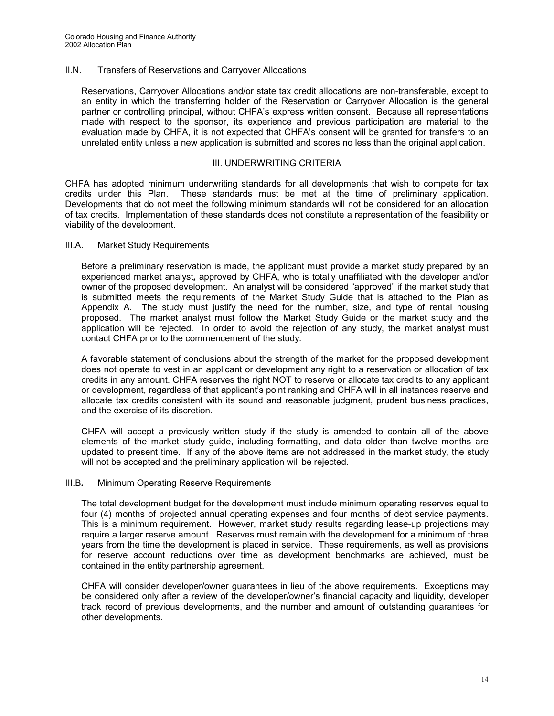#### II.N. Transfers of Reservations and Carryover Allocations

Reservations, Carryover Allocations and/or state tax credit allocations are non-transferable, except to an entity in which the transferring holder of the Reservation or Carryover Allocation is the general partner or controlling principal, without CHFA's express written consent. Because all representations made with respect to the sponsor, its experience and previous participation are material to the evaluation made by CHFA, it is not expected that CHFA's consent will be granted for transfers to an unrelated entity unless a new application is submitted and scores no less than the original application.

#### III. UNDERWRITING CRITERIA

CHFA has adopted minimum underwriting standards for all developments that wish to compete for tax credits under this Plan. These standards must be met at the time of preliminary application. Developments that do not meet the following minimum standards will not be considered for an allocation of tax credits. Implementation of these standards does not constitute a representation of the feasibility or viability of the development.

#### III.A. Market Study Requirements

Before a preliminary reservation is made, the applicant must provide a market study prepared by an experienced market analyst*,* approved by CHFA, who is totally unaffiliated with the developer and/or owner of the proposed development. An analyst will be considered "approved" if the market study that is submitted meets the requirements of the Market Study Guide that is attached to the Plan as Appendix A.The study must justify the need for the number, size, and type of rental housing proposed. The market analyst must follow the Market Study Guide or the market study and the application will be rejected. In order to avoid the rejection of any study, the market analyst must contact CHFA prior to the commencement of the study.

A favorable statement of conclusions about the strength of the market for the proposed development does not operate to vest in an applicant or development any right to a reservation or allocation of tax credits in any amount. CHFA reserves the right NOT to reserve or allocate tax credits to any applicant or development, regardless of that applicant's point ranking and CHFA will in all instances reserve and allocate tax credits consistent with its sound and reasonable judgment, prudent business practices, and the exercise of its discretion.

CHFA will accept a previously written study if the study is amended to contain all of the above elements of the market study guide, including formatting, and data older than twelve months are updated to present time. If any of the above items are not addressed in the market study, the study will not be accepted and the preliminary application will be rejected.

#### III.B*.* Minimum Operating Reserve Requirements

The total development budget for the development must include minimum operating reserves equal to four (4) months of projected annual operating expenses and four months of debt service payments. This is a minimum requirement. However, market study results regarding lease-up projections may require a larger reserve amount. Reserves must remain with the development for a minimum of three years from the time the development is placed in service. These requirements, as well as provisions for reserve account reductions over time as development benchmarks are achieved, must be contained in the entity partnership agreement.

CHFA will consider developer/owner guarantees in lieu of the above requirements. Exceptions may be considered only after a review of the developer/owner's financial capacity and liquidity, developer track record of previous developments, and the number and amount of outstanding guarantees for other developments.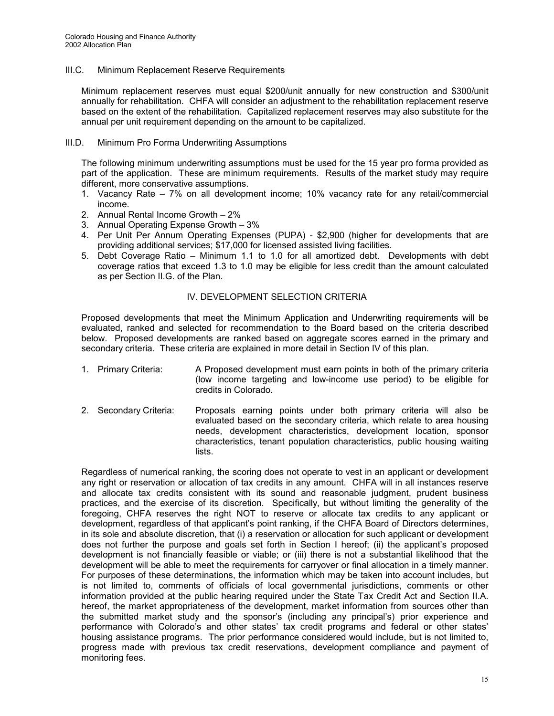#### III.C. Minimum Replacement Reserve Requirements

Minimum replacement reserves must equal \$200/unit annually for new construction and \$300/unit annually for rehabilitation. CHFA will consider an adjustment to the rehabilitation replacement reserve based on the extent of the rehabilitation. Capitalized replacement reserves may also substitute for the annual per unit requirement depending on the amount to be capitalized.

#### III.D. Minimum Pro Forma Underwriting Assumptions

The following minimum underwriting assumptions must be used for the 15 year pro forma provided as part of the application. These are minimum requirements. Results of the market study may require different, more conservative assumptions.

- 1. Vacancy Rate 7% on all development income; 10% vacancy rate for any retail/commercial income.
- 2. Annual Rental Income Growth 2%
- 3. Annual Operating Expense Growth 3%
- 4. Per Unit Per Annum Operating Expenses (PUPA) \$2,900 (higher for developments that are providing additional services; \$17,000 for licensed assisted living facilities.
- 5. Debt Coverage Ratio Minimum 1.1 to 1.0 for all amortized debt. Developments with debt coverage ratios that exceed 1.3 to 1.0 may be eligible for less credit than the amount calculated as per Section II.G. of the Plan.

#### IV. DEVELOPMENT SELECTION CRITERIA

Proposed developments that meet the Minimum Application and Underwriting requirements will be evaluated, ranked and selected for recommendation to the Board based on the criteria described below. Proposed developments are ranked based on aggregate scores earned in the primary and secondary criteria. These criteria are explained in more detail in Section IV of this plan.

- 1. Primary Criteria: A Proposed development must earn points in both of the primary criteria (low income targeting and low-income use period) to be eligible for credits in Colorado.
- 2. Secondary Criteria: Proposals earning points under both primary criteria will also be evaluated based on the secondary criteria, which relate to area housing needs, development characteristics, development location, sponsor characteristics, tenant population characteristics, public housing waiting lists.

Regardless of numerical ranking, the scoring does not operate to vest in an applicant or development any right or reservation or allocation of tax credits in any amount. CHFA will in all instances reserve and allocate tax credits consistent with its sound and reasonable judgment, prudent business practices, and the exercise of its discretion. Specifically, but without limiting the generality of the foregoing, CHFA reserves the right NOT to reserve or allocate tax credits to any applicant or development, regardless of that applicant's point ranking, if the CHFA Board of Directors determines, in its sole and absolute discretion, that (i) a reservation or allocation for such applicant or development does not further the purpose and goals set forth in Section I hereof; (ii) the applicant's proposed development is not financially feasible or viable; or (iii) there is not a substantial likelihood that the development will be able to meet the requirements for carryover or final allocation in a timely manner. For purposes of these determinations, the information which may be taken into account includes, but is not limited to, comments of officials of local governmental jurisdictions, comments or other information provided at the public hearing required under the State Tax Credit Act and Section II.A. hereof, the market appropriateness of the development, market information from sources other than the submitted market study and the sponsor's (including any principal's) prior experience and performance with Colorado's and other states' tax credit programs and federal or other states' housing assistance programs. The prior performance considered would include, but is not limited to, progress made with previous tax credit reservations, development compliance and payment of monitoring fees.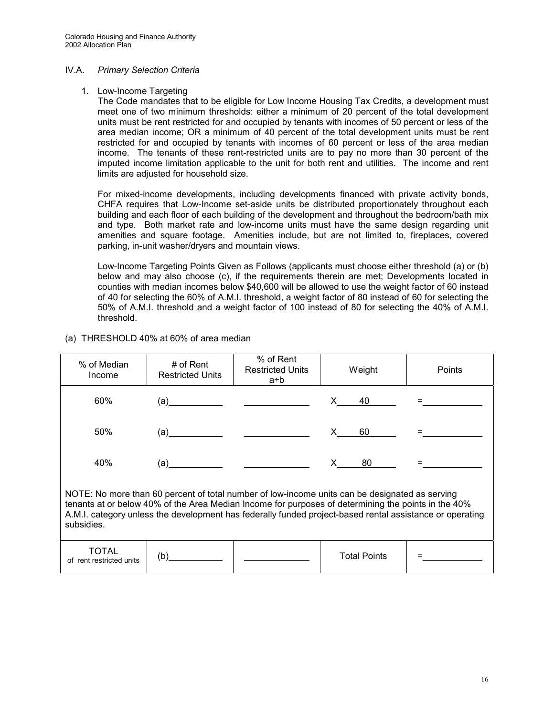#### IV.A. *Primary Selection Criteria*

#### 1. Low-Income Targeting

The Code mandates that to be eligible for Low Income Housing Tax Credits, a development must meet one of two minimum thresholds: either a minimum of 20 percent of the total development units must be rent restricted for and occupied by tenants with incomes of 50 percent or less of the area median income; OR a minimum of 40 percent of the total development units must be rent restricted for and occupied by tenants with incomes of 60 percent or less of the area median income. The tenants of these rent-restricted units are to pay no more than 30 percent of the imputed income limitation applicable to the unit for both rent and utilities. The income and rent limits are adjusted for household size.

For mixed-income developments, including developments financed with private activity bonds, CHFA requires that Low-Income set-aside units be distributed proportionately throughout each building and each floor of each building of the development and throughout the bedroom/bath mix and type. Both market rate and low-income units must have the same design regarding unit amenities and square footage. Amenities include, but are not limited to, fireplaces, covered parking, in-unit washer/dryers and mountain views.

Low-Income Targeting Points Given as Follows (applicants must choose either threshold (a) or (b) below and may also choose (c), if the requirements therein are met; Developments located in counties with median incomes below \$40,600 will be allowed to use the weight factor of 60 instead of 40 for selecting the 60% of A.M.I. threshold, a weight factor of 80 instead of 60 for selecting the 50% of A.M.I. threshold and a weight factor of 100 instead of 80 for selecting the 40% of A.M.I. threshold.

| % of Median<br>Income                                                                                                                                                                                                                                                                                                           | # of Rent<br><b>Restricted Units</b>                                                                                                                                                                                                                                                                                                                                                                           | % of Rent<br><b>Restricted Units</b><br>a÷b | Weight              | Points |
|---------------------------------------------------------------------------------------------------------------------------------------------------------------------------------------------------------------------------------------------------------------------------------------------------------------------------------|----------------------------------------------------------------------------------------------------------------------------------------------------------------------------------------------------------------------------------------------------------------------------------------------------------------------------------------------------------------------------------------------------------------|---------------------------------------------|---------------------|--------|
| 60%                                                                                                                                                                                                                                                                                                                             | $\left( a\right)$ and $\left( a\right)$                                                                                                                                                                                                                                                                                                                                                                        |                                             | 40<br>X.            |        |
| 50%                                                                                                                                                                                                                                                                                                                             |                                                                                                                                                                                                                                                                                                                                                                                                                |                                             | 60<br>X.            |        |
| 40%                                                                                                                                                                                                                                                                                                                             | $(a)$ and $\overline{\phantom{a}}$ and $\overline{\phantom{a}}$ and $\overline{\phantom{a}}$ and $\overline{\phantom{a}}$ and $\overline{\phantom{a}}$ and $\overline{\phantom{a}}$ and $\overline{\phantom{a}}$ and $\overline{\phantom{a}}$ and $\overline{\phantom{a}}$ and $\overline{\phantom{a}}$ and $\overline{\phantom{a}}$ and $\overline{\phantom{a}}$ and $\overline{\phantom{a}}$ and $\overline$ |                                             | 80<br>X —           |        |
| NOTE: No more than 60 percent of total number of low-income units can be designated as serving<br>tenants at or below 40% of the Area Median Income for purposes of determining the points in the 40%<br>A.M.I. category unless the development has federally funded project-based rental assistance or operating<br>subsidies. |                                                                                                                                                                                                                                                                                                                                                                                                                |                                             |                     |        |
| TOTAL<br>of rent restricted units                                                                                                                                                                                                                                                                                               | (b)                                                                                                                                                                                                                                                                                                                                                                                                            |                                             | <b>Total Points</b> |        |

(a) THRESHOLD 40% at 60% of area median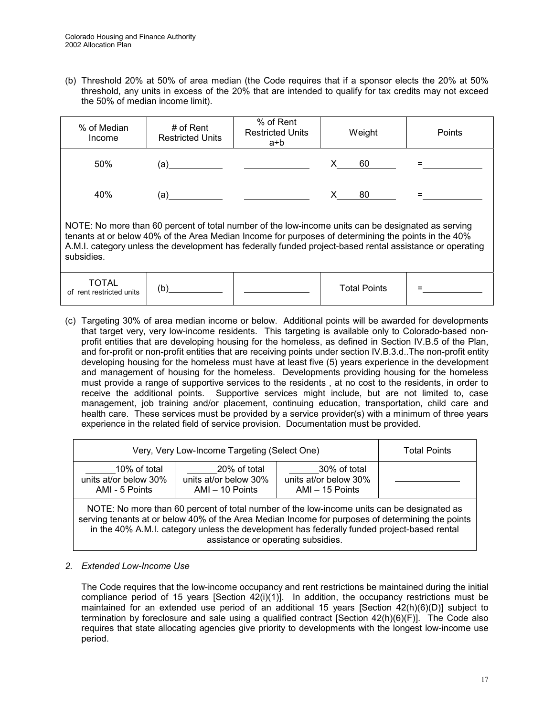(b) Threshold 20% at 50% of area median (the Code requires that if a sponsor elects the 20% at 50% threshold, any units in excess of the 20% that are intended to qualify for tax credits may not exceed the 50% of median income limit).

| % of Median<br>Income                                                                                                                                                                                                                                                                                                               | # of Rent<br><b>Restricted Units</b> | % of Rent<br><b>Restricted Units</b><br>a÷b | Weight              | Points |
|-------------------------------------------------------------------------------------------------------------------------------------------------------------------------------------------------------------------------------------------------------------------------------------------------------------------------------------|--------------------------------------|---------------------------------------------|---------------------|--------|
| 50%                                                                                                                                                                                                                                                                                                                                 | (a)                                  |                                             | 60                  |        |
| 40%                                                                                                                                                                                                                                                                                                                                 | (a)                                  |                                             | 80                  |        |
| NOTE: No more than 60 percent of total number of the low-income units can be designated as serving<br>tenants at or below 40% of the Area Median Income for purposes of determining the points in the 40%<br>A.M.I. category unless the development has federally funded project-based rental assistance or operating<br>subsidies. |                                      |                                             |                     |        |
| <b>TOTAL</b><br>rent restricted units<br>∩f                                                                                                                                                                                                                                                                                         | (b)                                  |                                             | <b>Total Points</b> |        |

(c) Targeting 30% of area median income or below. Additional points will be awarded for developments that target very, very low-income residents. This targeting is available only to Colorado-based nonprofit entities that are developing housing for the homeless, as defined in Section IV.B.5 of the Plan, and for-profit or non-profit entities that are receiving points under section IV.B.3.d..The non-profit entity developing housing for the homeless must have at least five (5) years experience in the development and management of housing for the homeless.Developments providing housing for the homeless must provide a range of supportive services to the residents , at no cost to the residents, in order to receive the additional points. Supportive services might include, but are not limited to, case management, job training and/or placement, continuing education, transportation, child care and health care. These services must be provided by a service provider(s) with a minimum of three years experience in the related field of service provision. Documentation must be provided.

| Very, Very Low-Income Targeting (Select One)                                                                                                                                                                                                                                                  |  |  | <b>Total Points</b> |
|-----------------------------------------------------------------------------------------------------------------------------------------------------------------------------------------------------------------------------------------------------------------------------------------------|--|--|---------------------|
| 10% of total<br>30% of total<br>20% of total<br>units at/or below 30%<br>units at/or below 30%<br>units at/or below 30%<br>AMI - 5 Points<br>AMI - 15 Points<br>AMI - 10 Points                                                                                                               |  |  |                     |
| NOTE: No more than 60 percent of total number of the low-income units can be designated as<br>serving tenants at or below 40% of the Area Median Income for purposes of determining the points<br>in the 40% A.M.I. category unless the development has federally funded project-based rental |  |  |                     |

assistance or operating subsidies.

#### *2. Extended Low-Income Use*

The Code requires that the low-income occupancy and rent restrictions be maintained during the initial compliance period of 15 years  $[Section 42(i)(1)]$ . In addition, the occupancy restrictions must be maintained for an extended use period of an additional 15 years [Section 42(h)(6)(D)] subject to termination by foreclosure and sale using a qualified contract [Section 42(h)(6)(F)]. The Code also requires that state allocating agencies give priority to developments with the longest low-income use period.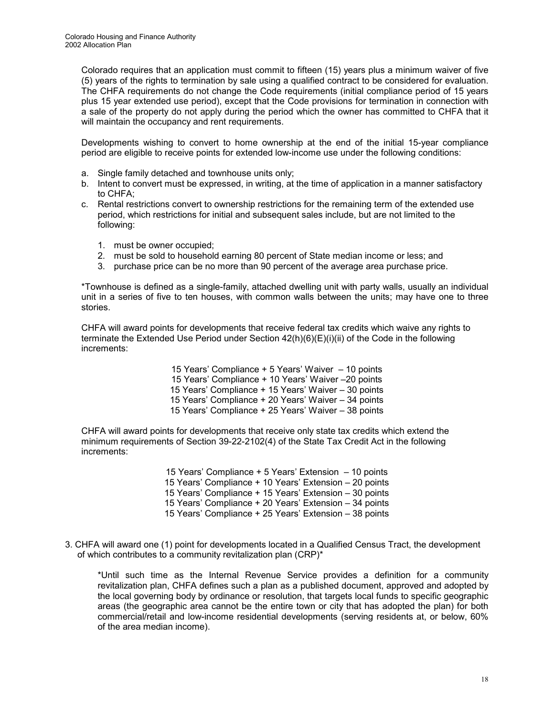Colorado requires that an application must commit to fifteen (15) years plus a minimum waiver of five (5) years of the rights to termination by sale using a qualified contract to be considered for evaluation. The CHFA requirements do not change the Code requirements (initial compliance period of 15 years plus 15 year extended use period), except that the Code provisions for termination in connection with a sale of the property do not apply during the period which the owner has committed to CHFA that it will maintain the occupancy and rent requirements.

Developments wishing to convert to home ownership at the end of the initial 15-year compliance period are eligible to receive points for extended low-income use under the following conditions:

- a. Single family detached and townhouse units only;
- b. Intent to convert must be expressed, in writing, at the time of application in a manner satisfactory to CHFA;
- c. Rental restrictions convert to ownership restrictions for the remaining term of the extended use period, which restrictions for initial and subsequent sales include, but are not limited to the following:
	- 1. must be owner occupied;
	- 2. must be sold to household earning 80 percent of State median income or less; and
	- 3. purchase price can be no more than 90 percent of the average area purchase price.

\*Townhouse is defined as a single-family, attached dwelling unit with party walls, usually an individual unit in a series of five to ten houses, with common walls between the units; may have one to three stories.

CHFA will award points for developments that receive federal tax credits which waive any rights to terminate the Extended Use Period under Section 42(h)(6)(E)(i)(ii) of the Code in the following increments:

> 15 Years' Compliance + 5 Years' Waiver – 10 points 15 Years' Compliance + 10 Years' Waiver –20 points 15 Years' Compliance + 15 Years' Waiver – 30 points 15 Years' Compliance + 20 Years' Waiver – 34 points 15 Years' Compliance + 25 Years' Waiver – 38 points

CHFA will award points for developments that receive only state tax credits which extend the minimum requirements of Section 39-22-2102(4) of the State Tax Credit Act in the following increments:

> 15 Years' Compliance + 5 Years' Extension – 10 points 15 Years' Compliance + 10 Years' Extension – 20 points 15 Years' Compliance + 15 Years' Extension – 30 points 15 Years' Compliance + 20 Years' Extension – 34 points 15 Years' Compliance + 25 Years' Extension – 38 points

3. CHFA will award one (1) point for developments located in a Qualified Census Tract, the development of which contributes to a community revitalization plan (CRP)\*

\*Until such time as the Internal Revenue Service provides a definition for a community revitalization plan, CHFA defines such a plan as a published document, approved and adopted by the local governing body by ordinance or resolution, that targets local funds to specific geographic areas (the geographic area cannot be the entire town or city that has adopted the plan) for both commercial/retail and low-income residential developments (serving residents at, or below, 60% of the area median income).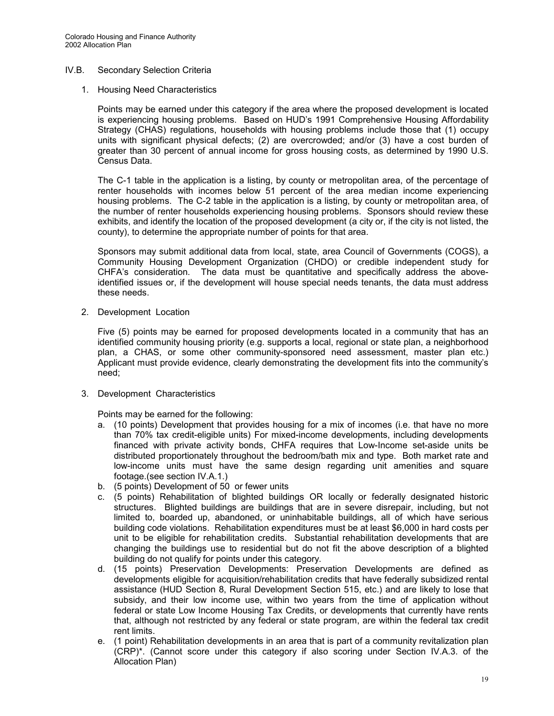#### IV.B. Secondary Selection Criteria

1. Housing Need Characteristics

Points may be earned under this category if the area where the proposed development is located is experiencing housing problems. Based on HUD's 1991 Comprehensive Housing Affordability Strategy (CHAS) regulations, households with housing problems include those that (1) occupy units with significant physical defects; (2) are overcrowded; and/or (3) have a cost burden of greater than 30 percent of annual income for gross housing costs, as determined by 1990 U.S. Census Data.

The C-1 table in the application is a listing, by county or metropolitan area, of the percentage of renter households with incomes below 51 percent of the area median income experiencing housing problems. The C-2 table in the application is a listing, by county or metropolitan area, of the number of renter households experiencing housing problems. Sponsors should review these exhibits, and identify the location of the proposed development (a city or, if the city is not listed, the county), to determine the appropriate number of points for that area.

Sponsors may submit additional data from local, state, area Council of Governments (COGS), a Community Housing Development Organization (CHDO) or credible independent study for CHFA's consideration. The data must be quantitative and specifically address the aboveidentified issues or, if the development will house special needs tenants, the data must address these needs.

2. Development Location

Five (5) points may be earned for proposed developments located in a community that has an identified community housing priority (e.g. supports a local, regional or state plan, a neighborhood plan, a CHAS, or some other community-sponsored need assessment, master plan etc.) Applicant must provide evidence, clearly demonstrating the development fits into the community's need;

3. Development Characteristics

Points may be earned for the following:

- a. (10 points) Development that provides housing for a mix of incomes (i.e. that have no more than 70% tax credit-eligible units) For mixed-income developments, including developments financed with private activity bonds, CHFA requires that Low-Income set-aside units be distributed proportionately throughout the bedroom/bath mix and type. Both market rate and low-income units must have the same design regarding unit amenities and square footage.(see section IV.A.1.)
- b. (5 points) Development of 50 or fewer units
- c. (5 points) Rehabilitation of blighted buildings OR locally or federally designated historic structures. Blighted buildings are buildings that are in severe disrepair, including, but not limited to, boarded up, abandoned, or uninhabitable buildings, all of which have serious building code violations. Rehabilitation expenditures must be at least \$6,000 in hard costs per unit to be eligible for rehabilitation credits.Substantial rehabilitation developments that are changing the buildings use to residential but do not fit the above description of a blighted building do not qualify for points under this category.
- d. (15 points) Preservation Developments: Preservation Developments are defined as developments eligible for acquisition/rehabilitation credits that have federally subsidized rental assistance (HUD Section 8, Rural Development Section 515, etc.) and are likely to lose that subsidy, and their low income use, within two years from the time of application without federal or state Low Income Housing Tax Credits, or developments that currently have rents that, although not restricted by any federal or state program, are within the federal tax credit rent limits.
- e. (1 point) Rehabilitation developments in an area that is part of a community revitalization plan (CRP)\*. (Cannot score under this category if also scoring under Section IV.A.3. of the Allocation Plan)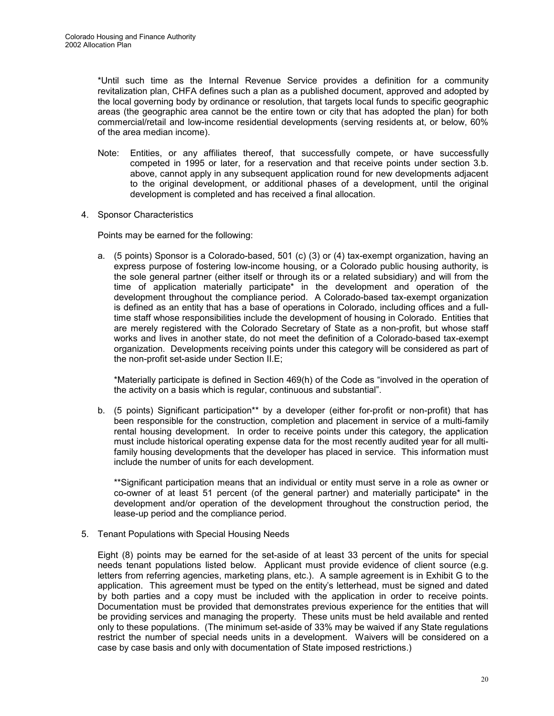\*Until such time as the Internal Revenue Service provides a definition for a community revitalization plan, CHFA defines such a plan as a published document, approved and adopted by the local governing body by ordinance or resolution, that targets local funds to specific geographic areas (the geographic area cannot be the entire town or city that has adopted the plan) for both commercial/retail and low-income residential developments (serving residents at, or below, 60% of the area median income).

- Note: Entities, or any affiliates thereof, that successfully compete, or have successfully competed in 1995 or later, for a reservation and that receive points under section 3.b. above, cannot apply in any subsequent application round for new developments adjacent to the original development, or additional phases of a development, until the original development is completed and has received a final allocation.
- 4. Sponsor Characteristics

Points may be earned for the following:

a. (5 points) Sponsor is a Colorado-based, 501 (c) (3) or (4) tax-exempt organization, having an express purpose of fostering low-income housing, or a Colorado public housing authority, is the sole general partner (either itself or through its or a related subsidiary) and will from the time of application materially participate\* in the development and operation of the development throughout the compliance period. A Colorado-based tax-exempt organization is defined as an entity that has a base of operations in Colorado, including offices and a fulltime staff whose responsibilities include the development of housing in Colorado. Entities that are merely registered with the Colorado Secretary of State as a non-profit, but whose staff works and lives in another state, do not meet the definition of a Colorado-based tax-exempt organization. Developments receiving points under this category will be considered as part of the non-profit set-aside under Section II.E;

\*Materially participate is defined in Section 469(h) of the Code as "involved in the operation of the activity on a basis which is regular, continuous and substantial".

b. (5 points) Significant participation<sup>\*\*</sup> by a developer (either for-profit or non-profit) that has been responsible for the construction, completion and placement in service of a multi-family rental housing development. In order to receive points under this category, the application must include historical operating expense data for the most recently audited year for all multifamily housing developments that the developer has placed in service. This information must include the number of units for each development.

\*\*Significant participation means that an individual or entity must serve in a role as owner or co-owner of at least 51 percent (of the general partner) and materially participate\* in the development and/or operation of the development throughout the construction period, the lease-up period and the compliance period.

5. Tenant Populations with Special Housing Needs

Eight (8) points may be earned for the set-aside of at least 33 percent of the units for special needs tenant populations listed below. Applicant must provide evidence of client source (e.g. letters from referring agencies, marketing plans, etc.). A sample agreement is in Exhibit G to the application. This agreement must be typed on the entity's letterhead, must be signed and dated by both parties and a copy must be included with the application in order to receive points. Documentation must be provided that demonstrates previous experience for the entities that will be providing services and managing the property. These units must be held available and rented only to these populations. (The minimum set-aside of 33% may be waived if any State regulations restrict the number of special needs units in a development. Waivers will be considered on a case by case basis and only with documentation of State imposed restrictions.)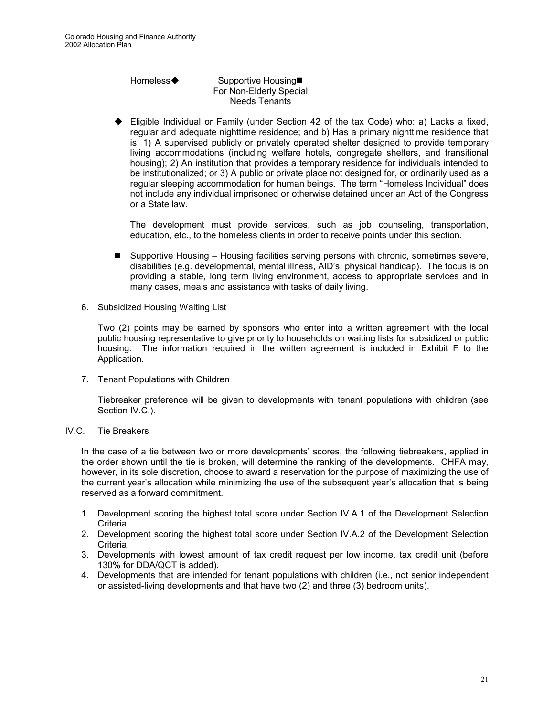#### Homeless◆ Supportive Housing■ For Non-Elderly Special Needs Tenants

Eligible Individual or Family (under Section 42 of the tax Code) who: a) Lacks a fixed, regular and adequate nighttime residence; and b) Has a primary nighttime residence that is: 1) A supervised publicly or privately operated shelter designed to provide temporary living accommodations (including welfare hotels, congregate shelters, and transitional housing); 2) An institution that provides a temporary residence for individuals intended to be institutionalized; or 3) A public or private place not designed for, or ordinarily used as a regular sleeping accommodation for human beings. The term "Homeless Individual" does not include any individual imprisoned or otherwise detained under an Act of the Congress or a State law.

The development must provide services, such as job counseling, transportation, education, etc., to the homeless clients in order to receive points under this section.

- -Supportive Housing – Housing facilities serving persons with chronic, sometimes severe, disabilities (e.g. developmental, mental illness, AID's, physical handicap). The focus is on providing a stable, long term living environment, access to appropriate services and in many cases, meals and assistance with tasks of daily living.
- 6. Subsidized Housing Waiting List

Two (2) points may be earned by sponsors who enter into a written agreement with the local public housing representative to give priority to households on waiting lists for subsidized or public housing. The information required in the written agreement is included in Exhibit F to the Application.

7. Tenant Populations with Children

Tiebreaker preference will be given to developments with tenant populations with children (see Section IV.C.).

IV.C. Tie Breakers

In the case of a tie between two or more developments' scores, the following tiebreakers, applied in the order shown until the tie is broken, will determine the ranking of the developments. CHFA may, however, in its sole discretion, choose to award a reservation for the purpose of maximizing the use of the current year's allocation while minimizing the use of the subsequent year's allocation that is being reserved as a forward commitment.

- 1. Development scoring the highest total score under Section IV.A.1 of the Development Selection Criteria,
- 2. Development scoring the highest total score under Section IV.A.2 of the Development Selection Criteria,
- 3. Developments with lowest amount of tax credit request per low income, tax credit unit (before 130% for DDA/QCT is added).
- 4. Developments that are intended for tenant populations with children (i.e., not senior independent or assisted-living developments and that have two (2) and three (3) bedroom units).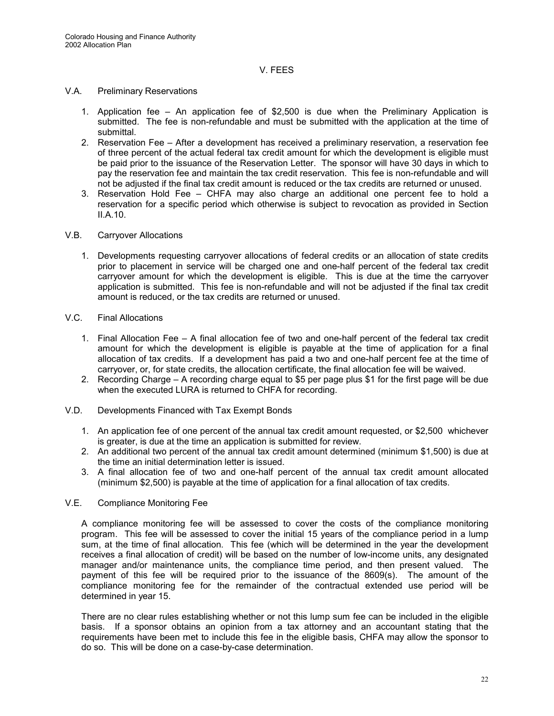#### V. FEES

- V.A. Preliminary Reservations
	- 1. Application fee An application fee of \$2,500 is due when the Preliminary Application is submitted. The fee is non-refundable and must be submitted with the application at the time of submittal.
	- 2. Reservation Fee After a development has received a preliminary reservation, a reservation fee of three percent of the actual federal tax credit amount for which the development is eligible must be paid prior to the issuance of the Reservation Letter. The sponsor will have 30 days in which to pay the reservation fee and maintain the tax credit reservation. This fee is non-refundable and will not be adjusted if the final tax credit amount is reduced or the tax credits are returned or unused.
	- 3. Reservation Hold Fee CHFA may also charge an additional one percent fee to hold a reservation for a specific period which otherwise is subject to revocation as provided in Section II.A.10.
- V.B. Carryover Allocations
	- 1. Developments requesting carryover allocations of federal credits or an allocation of state credits prior to placement in service will be charged one and one-half percent of the federal tax credit carryover amount for which the development is eligible. This is due at the time the carryover application is submitted. This fee is non-refundable and will not be adjusted if the final tax credit amount is reduced, or the tax credits are returned or unused.
- V.C. Final Allocations
	- 1. Final Allocation Fee A final allocation fee of two and one-half percent of the federal tax credit amount for which the development is eligible is payable at the time of application for a final allocation of tax credits. If a development has paid a two and one-half percent fee at the time of carryover, or, for state credits, the allocation certificate, the final allocation fee will be waived.
	- 2. Recording Charge A recording charge equal to \$5 per page plus \$1 for the first page will be due when the executed LURA is returned to CHFA for recording.
- V.D. Developments Financed with Tax Exempt Bonds
	- 1. An application fee of one percent of the annual tax credit amount requested, or \$2,500 whichever is greater, is due at the time an application is submitted for review.
	- 2. An additional two percent of the annual tax credit amount determined (minimum \$1,500) is due at the time an initial determination letter is issued.
	- 3. A final allocation fee of two and one-half percent of the annual tax credit amount allocated (minimum \$2,500) is payable at the time of application for a final allocation of tax credits.

#### V.E. Compliance Monitoring Fee

A compliance monitoring fee will be assessed to cover the costs of the compliance monitoring program. This fee will be assessed to cover the initial 15 years of the compliance period in a lump sum, at the time of final allocation. This fee (which will be determined in the year the development receives a final allocation of credit) will be based on the number of low-income units, any designated manager and/or maintenance units, the compliance time period, and then present valued. The payment of this fee will be required prior to the issuance of the 8609(s). The amount of the compliance monitoring fee for the remainder of the contractual extended use period will be determined in year 15.

There are no clear rules establishing whether or not this lump sum fee can be included in the eligible basis. If a sponsor obtains an opinion from a tax attorney and an accountant stating that the requirements have been met to include this fee in the eligible basis, CHFA may allow the sponsor to do so. This will be done on a case-by-case determination.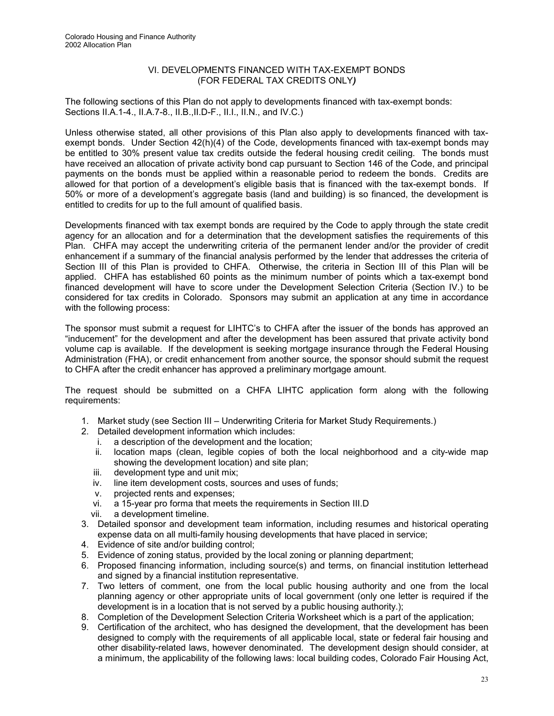#### VI. DEVELOPMENTS FINANCED WITH TAX-EXEMPT BONDS (FOR FEDERAL TAX CREDITS ONLY*)*

The following sections of this Plan do not apply to developments financed with tax-exempt bonds: Sections II.A.1-4., II.A.7-8., II.B.,II.D-F., II.I., II.N., and IV.C.)

Unless otherwise stated, all other provisions of this Plan also apply to developments financed with taxexempt bonds. Under Section 42(h)(4) of the Code, developments financed with tax-exempt bonds may be entitled to 30% present value tax credits outside the federal housing credit ceiling. The bonds must have received an allocation of private activity bond cap pursuant to Section 146 of the Code, and principal payments on the bonds must be applied within a reasonable period to redeem the bonds. Credits are allowed for that portion of a development's eligible basis that is financed with the tax-exempt bonds. If 50% or more of a development's aggregate basis (land and building) is so financed, the development is entitled to credits for up to the full amount of qualified basis.

Developments financed with tax exempt bonds are required by the Code to apply through the state credit agency for an allocation and for a determination that the development satisfies the requirements of this Plan. CHFA may accept the underwriting criteria of the permanent lender and/or the provider of credit enhancement if a summary of the financial analysis performed by the lender that addresses the criteria of Section III of this Plan is provided to CHFA. Otherwise, the criteria in Section III of this Plan will be applied.CHFA has established 60 points as the minimum number of points which a tax-exempt bond financed development will have to score under the Development Selection Criteria (Section IV.) to be considered for tax credits in Colorado. Sponsors may submit an application at any time in accordance with the following process:

The sponsor must submit a request for LIHTC's to CHFA after the issuer of the bonds has approved an "inducement" for the development and after the development has been assured that private activity bond volume cap is available. If the development is seeking mortgage insurance through the Federal Housing Administration (FHA), or credit enhancement from another source, the sponsor should submit the request to CHFA after the credit enhancer has approved a preliminary mortgage amount.

The request should be submitted on a CHFA LIHTC application form along with the following requirements:

- 1. Market study (see Section III Underwriting Criteria for Market Study Requirements.)
- 2. Detailed development information which includes:
	- i. a description of the development and the location;
	- ii. location maps (clean, legible copies of both the local neighborhood and a city-wide map showing the development location) and site plan;
	- iii. development type and unit mix;
	- iv. line item development costs, sources and uses of funds;
	- v. projected rents and expenses;
	- vi. a 15-year pro forma that meets the requirements in Section III.D
	- vii. a development timeline.
- 3. Detailed sponsor and development team information, including resumes and historical operating expense data on all multi-family housing developments that have placed in service;
- 4. Evidence of site and/or building control;
- 5. Evidence of zoning status, provided by the local zoning or planning department;
- 6. Proposed financing information, including source(s) and terms, on financial institution letterhead and signed by a financial institution representative.
- 7. Two letters of comment, one from the local public housing authority and one from the local planning agency or other appropriate units of local government (only one letter is required if the development is in a location that is not served by a public housing authority.);
- 8. Completion of the Development Selection Criteria Worksheet which is a part of the application;
- 9. Certification of the architect, who has designed the development, that the development has been designed to comply with the requirements of all applicable local, state or federal fair housing and other disability-related laws, however denominated. The development design should consider, at a minimum, the applicability of the following laws: local building codes, Colorado Fair Housing Act,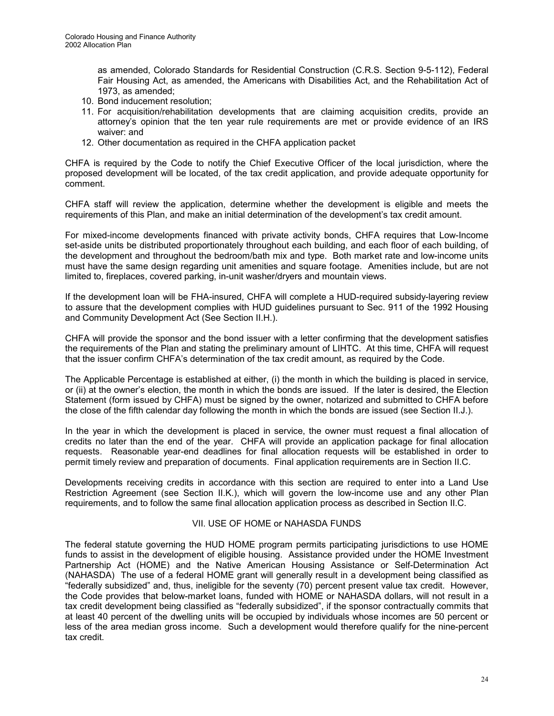as amended, Colorado Standards for Residential Construction (C.R.S. Section 9-5-112), Federal Fair Housing Act, as amended, the Americans with Disabilities Act, and the Rehabilitation Act of 1973, as amended;

- 10. Bond inducement resolution;
- 11. For acquisition/rehabilitation developments that are claiming acquisition credits, provide an attorney's opinion that the ten year rule requirements are met or provide evidence of an IRS waiver: and
- 12. Other documentation as required in the CHFA application packet

CHFA is required by the Code to notify the Chief Executive Officer of the local jurisdiction, where the proposed development will be located, of the tax credit application, and provide adequate opportunity for comment.

CHFA staff will review the application, determine whether the development is eligible and meets the requirements of this Plan, and make an initial determination of the development's tax credit amount.

For mixed-income developments financed with private activity bonds, CHFA requires that Low-Income set-aside units be distributed proportionately throughout each building, and each floor of each building, of the development and throughout the bedroom/bath mix and type. Both market rate and low-income units must have the same design regarding unit amenities and square footage. Amenities include, but are not limited to, fireplaces, covered parking, in-unit washer/dryers and mountain views.

If the development loan will be FHA-insured, CHFA will complete a HUD-required subsidy-layering review to assure that the development complies with HUD guidelines pursuant to Sec. 911 of the 1992 Housing and Community Development Act (See Section II.H.).

CHFA will provide the sponsor and the bond issuer with a letter confirming that the development satisfies the requirements of the Plan and stating the preliminary amount of LIHTC. At this time, CHFA will request that the issuer confirm CHFA's determination of the tax credit amount, as required by the Code.

The Applicable Percentage is established at either, (i) the month in which the building is placed in service, or (ii) at the owner's election, the month in which the bonds are issued. If the later is desired, the Election Statement (form issued by CHFA) must be signed by the owner, notarized and submitted to CHFA before the close of the fifth calendar day following the month in which the bonds are issued (see Section II.J.).

In the year in which the development is placed in service, the owner must request a final allocation of credits no later than the end of the year. CHFA will provide an application package for final allocation requests. Reasonable year-end deadlines for final allocation requests will be established in order to permit timely review and preparation of documents. Final application requirements are in Section II.C.

Developments receiving credits in accordance with this section are required to enter into a Land Use Restriction Agreement (see Section II.K.), which will govern the low-income use and any other Plan requirements, and to follow the same final allocation application process as described in Section II.C.

#### VII. USE OF HOME or NAHASDA FUNDS

The federal statute governing the HUD HOME program permits participating jurisdictions to use HOME funds to assist in the development of eligible housing. Assistance provided under the HOME Investment Partnership Act (HOME) and the Native American Housing Assistance or Self-Determination Act (NAHASDA) The use of a federal HOME grant will generally result in a development being classified as "federally subsidized" and, thus, ineligible for the seventy (70) percent present value tax credit. However, the Code provides that below-market loans, funded with HOME or NAHASDA dollars, will not result in a tax credit development being classified as "federally subsidized", if the sponsor contractually commits that at least 40 percent of the dwelling units will be occupied by individuals whose incomes are 50 percent or less of the area median gross income. Such a development would therefore qualify for the nine-percent tax credit.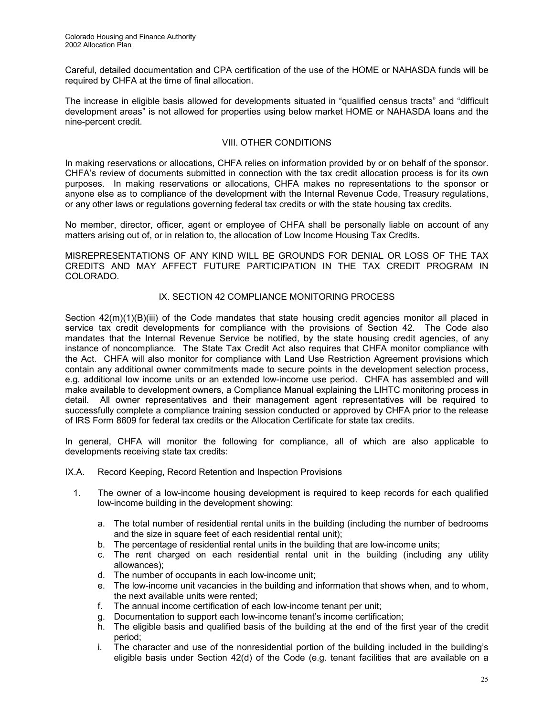Careful, detailed documentation and CPA certification of the use of the HOME or NAHASDA funds will be required by CHFA at the time of final allocation.

The increase in eligible basis allowed for developments situated in "qualified census tracts" and "difficult development areas" is not allowed for properties using below market HOME or NAHASDA loans and the nine-percent credit.

#### VIII. OTHER CONDITIONS

In making reservations or allocations, CHFA relies on information provided by or on behalf of the sponsor. CHFA's review of documents submitted in connection with the tax credit allocation process is for its own purposes. In making reservations or allocations, CHFA makes no representations to the sponsor or anyone else as to compliance of the development with the Internal Revenue Code, Treasury regulations, or any other laws or regulations governing federal tax credits or with the state housing tax credits.

No member, director, officer, agent or employee of CHFA shall be personally liable on account of any matters arising out of, or in relation to, the allocation of Low Income Housing Tax Credits.

MISREPRESENTATIONS OF ANY KIND WILL BE GROUNDS FOR DENIAL OR LOSS OF THE TAX CREDITS AND MAY AFFECT FUTURE PARTICIPATION IN THE TAX CREDIT PROGRAM IN COLORADO.

#### IX. SECTION 42 COMPLIANCE MONITORING PROCESS

Section  $42(m)(1)(B)(iii)$  of the Code mandates that state housing credit agencies monitor all placed in service tax credit developments for compliance with the provisions of Section 42. The Code also mandates that the Internal Revenue Service be notified, by the state housing credit agencies, of any instance of noncompliance. The State Tax Credit Act also requires that CHFA monitor compliance with the Act. CHFA will also monitor for compliance with Land Use Restriction Agreement provisions which contain any additional owner commitments made to secure points in the development selection process, e.g. additional low income units or an extended low-income use period. CHFA has assembled and will make available to development owners, a Compliance Manual explaining the LIHTC monitoring process in detail. All owner representatives and their management agent representatives will be required to successfully complete a compliance training session conducted or approved by CHFA prior to the release of IRS Form 8609 for federal tax credits or the Allocation Certificate for state tax credits.

In general, CHFA will monitor the following for compliance, all of which are also applicable to developments receiving state tax credits:

IX.A. Record Keeping, Record Retention and Inspection Provisions

- 1. The owner of a low-income housing development is required to keep records for each qualified low-income building in the development showing:
	- a. The total number of residential rental units in the building (including the number of bedrooms and the size in square feet of each residential rental unit);
	- b. The percentage of residential rental units in the building that are low-income units;
	- c. The rent charged on each residential rental unit in the building (including any utility allowances);
	- d. The number of occupants in each low-income unit;
	- e. The low-income unit vacancies in the building and information that shows when, and to whom, the next available units were rented;
	- f. The annual income certification of each low-income tenant per unit;
	- g. Documentation to support each low-income tenant's income certification;
	- h. The eligible basis and qualified basis of the building at the end of the first year of the credit period;
	- i. The character and use of the nonresidential portion of the building included in the building's eligible basis under Section 42(d) of the Code (e.g. tenant facilities that are available on a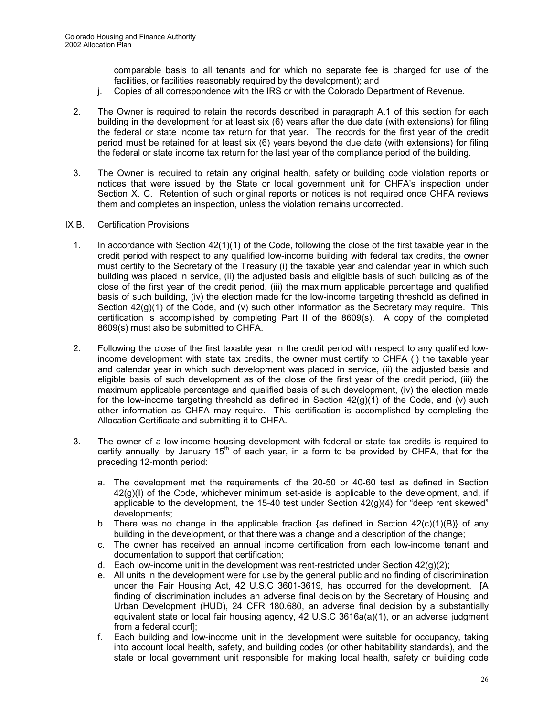comparable basis to all tenants and for which no separate fee is charged for use of the facilities, or facilities reasonably required by the development); and

- j. Copies of all correspondence with the IRS or with the Colorado Department of Revenue.
- 2. The Owner is required to retain the records described in paragraph A.1 of this section for each building in the development for at least six (6) years after the due date (with extensions) for filing the federal or state income tax return for that year. The records for the first year of the credit period must be retained for at least six (6) years beyond the due date (with extensions) for filing the federal or state income tax return for the last year of the compliance period of the building.
- 3. The Owner is required to retain any original health, safety or building code violation reports or notices that were issued by the State or local government unit for CHFA's inspection under Section X. C. Retention of such original reports or notices is not required once CHFA reviews them and completes an inspection, unless the violation remains uncorrected.

#### IX.B. Certification Provisions

- 1. In accordance with Section 42(1)(1) of the Code, following the close of the first taxable year in the credit period with respect to any qualified low-income building with federal tax credits, the owner must certify to the Secretary of the Treasury (i) the taxable year and calendar year in which such building was placed in service, (ii) the adjusted basis and eligible basis of such building as of the close of the first year of the credit period, (iii) the maximum applicable percentage and qualified basis of such building, (iv) the election made for the low-income targeting threshold as defined in Section  $42(g)(1)$  of the Code, and (v) such other information as the Secretary may require. This certification is accomplished by completing Part II of the 8609(s). A copy of the completed 8609(s) must also be submitted to CHFA.
- 2. Following the close of the first taxable year in the credit period with respect to any qualified lowincome development with state tax credits, the owner must certify to CHFA (i) the taxable year and calendar year in which such development was placed in service, (ii) the adjusted basis and eligible basis of such development as of the close of the first year of the credit period, (iii) the maximum applicable percentage and qualified basis of such development, (iv) the election made for the low-income targeting threshold as defined in Section  $42(g)(1)$  of the Code, and (v) such other information as CHFA may require. This certification is accomplished by completing the Allocation Certificate and submitting it to CHFA.
- 3. The owner of a low-income housing development with federal or state tax credits is required to certify annually, by January  $15<sup>th</sup>$  of each year, in a form to be provided by CHFA, that for the preceding 12-month period:
	- a. The development met the requirements of the 20-50 or 40-60 test as defined in Section 42(g)(I) of the Code, whichever minimum set-aside is applicable to the development, and, if applicable to the development, the 15-40 test under Section 42(g)(4) for "deep rent skewed" developments;
	- b. There was no change in the applicable fraction {as defined in Section  $42(c)(1)(B)$ } of any building in the development, or that there was a change and a description of the change;
	- c. The owner has received an annual income certification from each low-income tenant and documentation to support that certification;
	- d. Each low-income unit in the development was rent-restricted under Section  $42(q)(2)$ ;
	- e. All units in the development were for use by the general public and no finding of discrimination under the Fair Housing Act, 42 U.S.C 3601-3619, has occurred for the development. [A finding of discrimination includes an adverse final decision by the Secretary of Housing and Urban Development (HUD), 24 CFR 180.680, an adverse final decision by a substantially equivalent state or local fair housing agency, 42 U.S.C 3616a(a)(1), or an adverse judgment from a federal court];
	- f. Each building and low-income unit in the development were suitable for occupancy, taking into account local health, safety, and building codes (or other habitability standards), and the state or local government unit responsible for making local health, safety or building code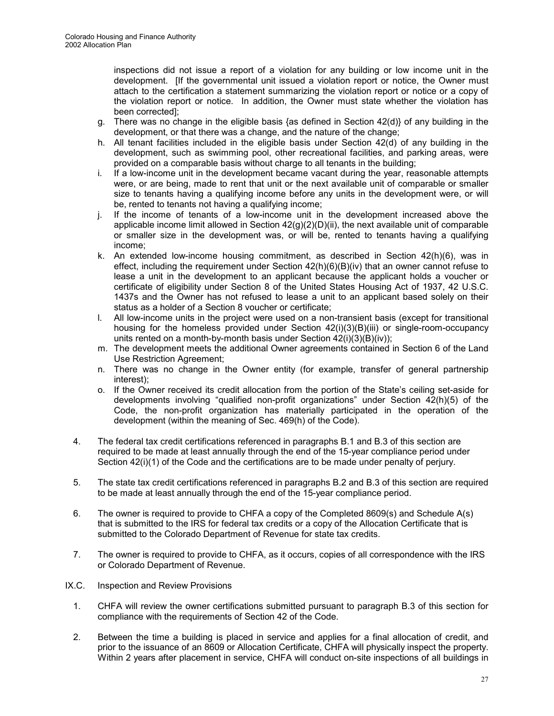inspections did not issue a report of a violation for any building or low income unit in the development. [If the governmental unit issued a violation report or notice, the Owner must attach to the certification a statement summarizing the violation report or notice or a copy of the violation report or notice. In addition, the Owner must state whether the violation has been corrected];

- g. There was no change in the eligible basis {as defined in Section 42(d)} of any building in the development, or that there was a change, and the nature of the change;
- h. All tenant facilities included in the eligible basis under Section 42(d) of any building in the development, such as swimming pool, other recreational facilities, and parking areas, were provided on a comparable basis without charge to all tenants in the building;
- i. If a low-income unit in the development became vacant during the year, reasonable attempts were, or are being, made to rent that unit or the next available unit of comparable or smaller size to tenants having a qualifying income before any units in the development were, or will be, rented to tenants not having a qualifying income;
- j. If the income of tenants of a low-income unit in the development increased above the applicable income limit allowed in Section  $42(g)(2)(D)(ii)$ , the next available unit of comparable or smaller size in the development was, or will be, rented to tenants having a qualifying income;
- k. An extended low-income housing commitment, as described in Section 42(h)(6), was in effect, including the requirement under Section  $42(h)(6)(B)(iv)$  that an owner cannot refuse to lease a unit in the development to an applicant because the applicant holds a voucher or certificate of eligibility under Section 8 of the United States Housing Act of 1937, 42 U.S.C. 1437s and the Owner has not refused to lease a unit to an applicant based solely on their status as a holder of a Section 8 voucher or certificate;
- l. All low-income units in the project were used on a non-transient basis (except for transitional housing for the homeless provided under Section  $42(i)(3)(B)(iii)$  or single-room-occupancy units rented on a month-by-month basis under Section 42(i)(3)(B)(iv));
- m. The development meets the additional Owner agreements contained in Section 6 of the Land Use Restriction Agreement;
- n. There was no change in the Owner entity (for example, transfer of general partnership interest);
- o. If the Owner received its credit allocation from the portion of the State's ceiling set-aside for developments involving "qualified non-profit organizations" under Section 42(h)(5) of the Code, the non-profit organization has materially participated in the operation of the development (within the meaning of Sec. 469(h) of the Code).
- 4. The federal tax credit certifications referenced in paragraphs B.1 and B.3 of this section are required to be made at least annually through the end of the 15-year compliance period under Section 42(i)(1) of the Code and the certifications are to be made under penalty of perjury.
- 5. The state tax credit certifications referenced in paragraphs B.2 and B.3 of this section are required to be made at least annually through the end of the 15-year compliance period.
- 6. The owner is required to provide to CHFA a copy of the Completed 8609(s) and Schedule A(s) that is submitted to the IRS for federal tax credits or a copy of the Allocation Certificate that is submitted to the Colorado Department of Revenue for state tax credits.
- 7. The owner is required to provide to CHFA, as it occurs, copies of all correspondence with the IRS or Colorado Department of Revenue.
- IX.C. Inspection and Review Provisions
	- 1. CHFA will review the owner certifications submitted pursuant to paragraph B.3 of this section for compliance with the requirements of Section 42 of the Code.
	- 2. Between the time a building is placed in service and applies for a final allocation of credit, and prior to the issuance of an 8609 or Allocation Certificate, CHFA will physically inspect the property. Within 2 years after placement in service, CHFA will conduct on-site inspections of all buildings in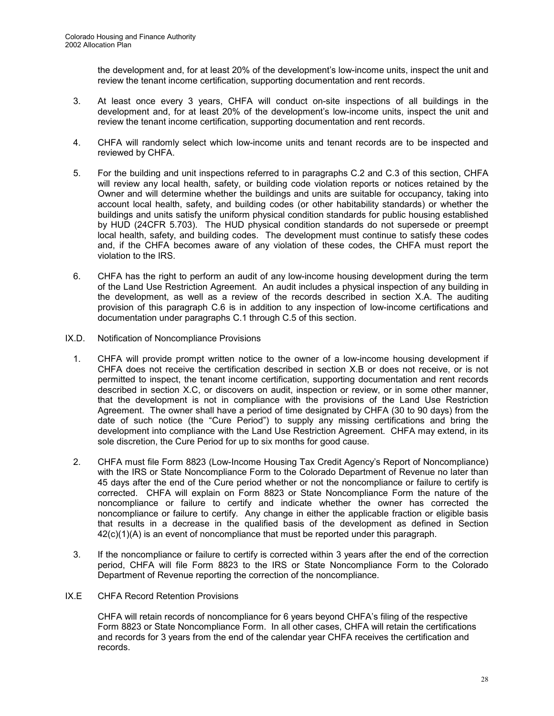the development and, for at least 20% of the development's low-income units, inspect the unit and review the tenant income certification, supporting documentation and rent records.

- 3. At least once every 3 years, CHFA will conduct on-site inspections of all buildings in the development and, for at least 20% of the development's low-income units, inspect the unit and review the tenant income certification, supporting documentation and rent records.
- 4. CHFA will randomly select which low-income units and tenant records are to be inspected and reviewed by CHFA.
- 5. For the building and unit inspections referred to in paragraphs C.2 and C.3 of this section, CHFA will review any local health, safety, or building code violation reports or notices retained by the Owner and will determine whether the buildings and units are suitable for occupancy, taking into account local health, safety, and building codes (or other habitability standards) or whether the buildings and units satisfy the uniform physical condition standards for public housing established by HUD (24CFR 5.703). The HUD physical condition standards do not supersede or preempt local health, safety, and building codes. The development must continue to satisfy these codes and, if the CHFA becomes aware of any violation of these codes, the CHFA must report the violation to the IRS.
- 6. CHFA has the right to perform an audit of any low-income housing development during the term of the Land Use Restriction Agreement. An audit includes a physical inspection of any building in the development, as well as a review of the records described in section X.A. The auditing provision of this paragraph C.6 is in addition to any inspection of low-income certifications and documentation under paragraphs C.1 through C.5 of this section.
- IX.D. Notification of Noncompliance Provisions
	- 1. CHFA will provide prompt written notice to the owner of a low-income housing development if CHFA does not receive the certification described in section X.B or does not receive, or is not permitted to inspect, the tenant income certification, supporting documentation and rent records described in section X.C, or discovers on audit, inspection or review, or in some other manner, that the development is not in compliance with the provisions of the Land Use Restriction Agreement. The owner shall have a period of time designated by CHFA (30 to 90 days) from the date of such notice (the "Cure Period") to supply any missing certifications and bring the development into compliance with the Land Use Restriction Agreement. CHFA may extend, in its sole discretion, the Cure Period for up to six months for good cause.
	- 2. CHFA must file Form 8823 (Low-Income Housing Tax Credit Agency's Report of Noncompliance) with the IRS or State Noncompliance Form to the Colorado Department of Revenue no later than 45 days after the end of the Cure period whether or not the noncompliance or failure to certify is corrected. CHFA will explain on Form 8823 or State Noncompliance Form the nature of the noncompliance or failure to certify and indicate whether the owner has corrected the noncompliance or failure to certify. Any change in either the applicable fraction or eligible basis that results in a decrease in the qualified basis of the development as defined in Section 42(c)(1)(A) is an event of noncompliance that must be reported under this paragraph.
	- 3. If the noncompliance or failure to certify is corrected within 3 years after the end of the correction period, CHFA will file Form 8823 to the IRS or State Noncompliance Form to the Colorado Department of Revenue reporting the correction of the noncompliance.
- IX.E CHFA Record Retention Provisions

CHFA will retain records of noncompliance for 6 years beyond CHFA's filing of the respective Form 8823 or State Noncompliance Form. In all other cases, CHFA will retain the certifications and records for 3 years from the end of the calendar year CHFA receives the certification and records.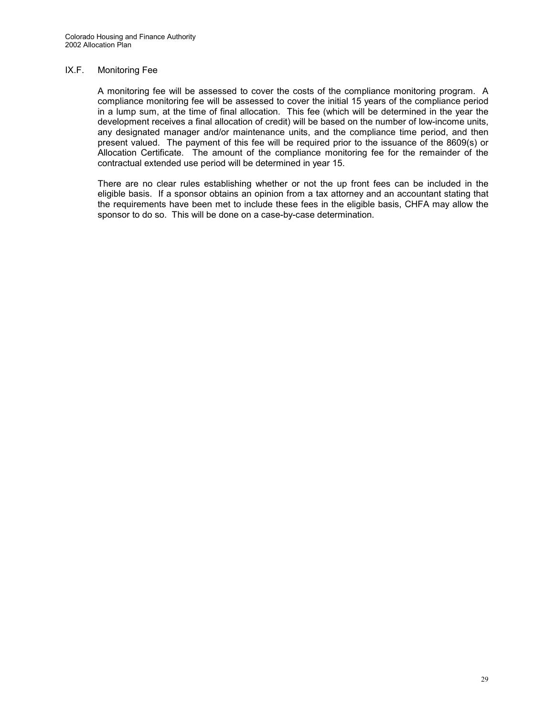#### IX.F. Monitoring Fee

A monitoring fee will be assessed to cover the costs of the compliance monitoring program. A compliance monitoring fee will be assessed to cover the initial 15 years of the compliance period in a lump sum, at the time of final allocation. This fee (which will be determined in the year the development receives a final allocation of credit) will be based on the number of low-income units, any designated manager and/or maintenance units, and the compliance time period, and then present valued. The payment of this fee will be required prior to the issuance of the 8609(s) or Allocation Certificate. The amount of the compliance monitoring fee for the remainder of the contractual extended use period will be determined in year 15.

There are no clear rules establishing whether or not the up front fees can be included in the eligible basis. If a sponsor obtains an opinion from a tax attorney and an accountant stating that the requirements have been met to include these fees in the eligible basis, CHFA may allow the sponsor to do so. This will be done on a case-by-case determination.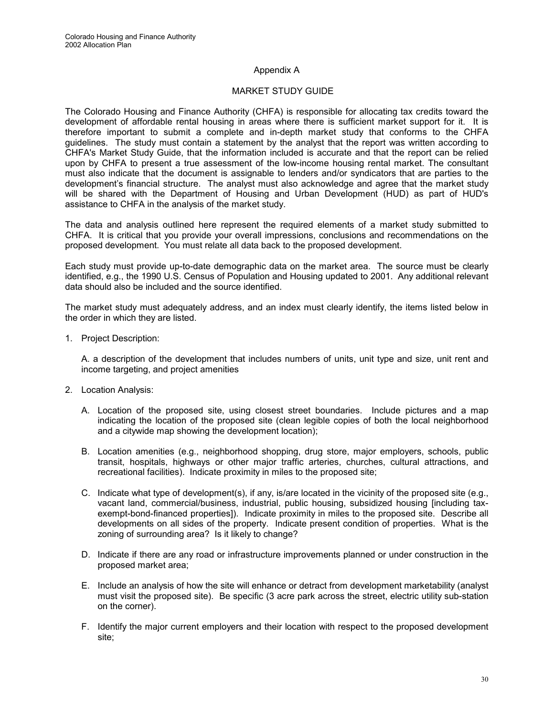#### Appendix A

#### MARKET STUDY GUIDE

The Colorado Housing and Finance Authority (CHFA) is responsible for allocating tax credits toward the development of affordable rental housing in areas where there is sufficient market support for it. It is therefore important to submit a complete and in-depth market study that conforms to the CHFA guidelines. The study must contain a statement by the analyst that the report was written according to CHFA's Market Study Guide, that the information included is accurate and that the report can be relied upon by CHFA to present a true assessment of the low-income housing rental market. The consultant must also indicate that the document is assignable to lenders and/or syndicators that are parties to the development's financial structure. The analyst must also acknowledge and agree that the market study will be shared with the Department of Housing and Urban Development (HUD) as part of HUD's assistance to CHFA in the analysis of the market study.

The data and analysis outlined here represent the required elements of a market study submitted to CHFA. It is critical that you provide your overall impressions, conclusions and recommendations on the proposed development. You must relate all data back to the proposed development.

Each study must provide up-to-date demographic data on the market area. The source must be clearly identified, e.g., the 1990 U.S. Census of Population and Housing updated to 2001. Any additional relevant data should also be included and the source identified.

The market study must adequately address, and an index must clearly identify, the items listed below in the order in which they are listed.

1. Project Description:

A. a description of the development that includes numbers of units, unit type and size, unit rent and income targeting, and project amenities

- 2. Location Analysis:
	- A. Location of the proposed site, using closest street boundaries. Include pictures and a map indicating the location of the proposed site (clean legible copies of both the local neighborhood and a citywide map showing the development location);
	- B. Location amenities (e.g., neighborhood shopping, drug store, major employers, schools, public transit, hospitals, highways or other major traffic arteries, churches, cultural attractions, and recreational facilities). Indicate proximity in miles to the proposed site;
	- C. Indicate what type of development(s), if any, is/are located in the vicinity of the proposed site (e.g., vacant land, commercial/business, industrial, public housing, subsidized housing [including taxexempt-bond-financed properties]). Indicate proximity in miles to the proposed site. Describe all developments on all sides of the property. Indicate present condition of properties. What is the zoning of surrounding area? Is it likely to change?
	- D. Indicate if there are any road or infrastructure improvements planned or under construction in the proposed market area;
	- E. Include an analysis of how the site will enhance or detract from development marketability (analyst must visit the proposed site). Be specific (3 acre park across the street, electric utility sub-station on the corner).
	- F. Identify the major current employers and their location with respect to the proposed development site;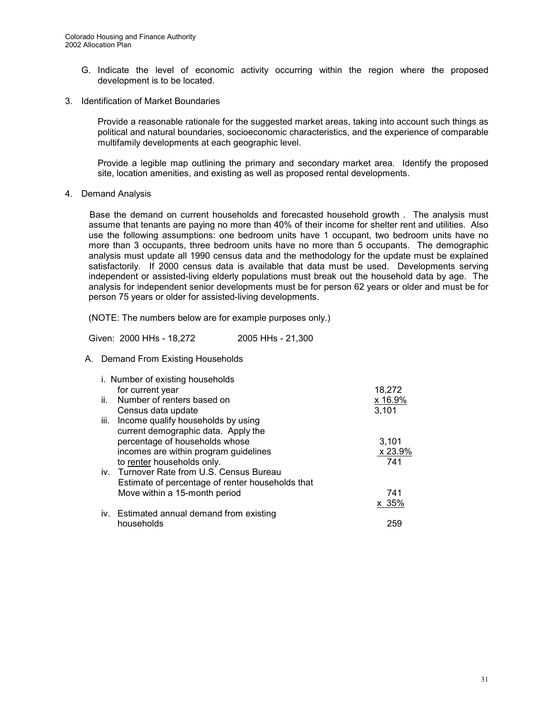- G. Indicate the level of economic activity occurring within the region where the proposed development is to be located.
- 3. Identification of Market Boundaries

Provide a reasonable rationale for the suggested market areas, taking into account such things as political and natural boundaries, socioeconomic characteristics, and the experience of comparable multifamily developments at each geographic level.

Provide a legible map outlining the primary and secondary market area. Identify the proposed site, location amenities, and existing as well as proposed rental developments.

4. Demand Analysis

Base the demand on current households and forecasted household growth . The analysis must assume that tenants are paying no more than 40% of their income for shelter rent and utilities. Also use the following assumptions: one bedroom units have 1 occupant, two bedroom units have no more than 3 occupants, three bedroom units have no more than 5 occupants. The demographic analysis must update all 1990 census data and the methodology for the update must be explained satisfactorily. If 2000 census data is available that data must be used. Developments serving independent or assisted-living elderly populations must break out the household data by age. The analysis for independent senior developments must be for person 62 years or older and must be for person 75 years or older for assisted-living developments.

(NOTE: The numbers below are for example purposes only.)

Given: 2000 HHs - 18,272 2005 HHs - 21,300

A. Demand From Existing Households

|      | i. Number of existing households                 |         |
|------|--------------------------------------------------|---------|
|      | for current year                                 | 18,272  |
| ii.  | Number of renters based on                       | x 16.9% |
|      | Census data update                               | 3,101   |
| iii. | Income qualify households by using               |         |
|      | current demographic data. Apply the              |         |
|      | percentage of households whose                   | 3,101   |
|      | incomes are within program guidelines            | x 23.9% |
|      | to renter households only.                       | 741     |
|      | iv. Turnover Rate from U.S. Census Bureau        |         |
|      | Estimate of percentage of renter households that |         |
|      | Move within a 15-month period                    | 741     |
|      |                                                  | x 35%   |
|      | iv. Estimated annual demand from existing        |         |
|      | households                                       | 259     |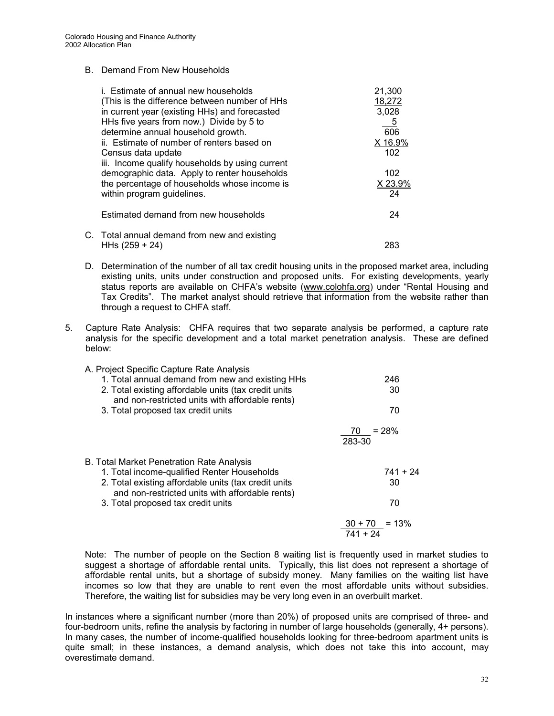#### B. Demand From New Households

| i. Estimate of annual new households            | 21,300  |
|-------------------------------------------------|---------|
| (This is the difference between number of HHs   | 18,272  |
| in current year (existing HHs) and forecasted   | 3,028   |
| HHs five years from now.) Divide by 5 to        | $-5$    |
| determine annual household growth.              | 606     |
| ii. Estimate of number of renters based on      | X 16.9% |
| Census data update                              | 102     |
| iii. Income qualify households by using current |         |
| demographic data. Apply to renter households    | 102     |
| the percentage of households whose income is    | X 23.9% |
| within program guidelines.                      | 24      |
| Estimated demand from new households            | 24      |
| C. Total annual demand from new and existing    |         |
| HHs $(259 + 24)$                                | 283     |

- D. Determination of the number of all tax credit housing units in the proposed market area, including existing units, units under construction and proposed units. For existing developments, yearly status reports are available on CHFA's website ([www.colohfa.org\)](http://www.colohfa.org/) under "Rental Housing and Tax Credits". The market analyst should retrieve that information from the website rather than through a request to CHFA staff.
- 5. Capture Rate Analysis: CHFA requires that two separate analysis be performed, a capture rate analysis for the specific development and a total market penetration analysis. These are defined below:

## A. Project Specific Capture Rate Analysis

| 1. Total annual demand from new and existing HHs                                                                                                       | 246                            |
|--------------------------------------------------------------------------------------------------------------------------------------------------------|--------------------------------|
| 2. Total existing affordable units (tax credit units<br>and non-restricted units with affordable rents)                                                | 30                             |
| 3. Total proposed tax credit units                                                                                                                     | 70                             |
|                                                                                                                                                        | $70 = 28%$<br>283-30           |
| B. Total Market Penetration Rate Analysis                                                                                                              | $741 + 24$                     |
| 1. Total income-qualified Renter Households<br>2. Total existing affordable units (tax credit units<br>and non-restricted units with affordable rents) | 30                             |
| 3. Total proposed tax credit units                                                                                                                     | 70                             |
|                                                                                                                                                        | $30 + 70 = 13\%$<br>$741 + 24$ |
|                                                                                                                                                        |                                |

Note: The number of people on the Section 8 waiting list is frequently used in market studies to suggest a shortage of affordable rental units. Typically, this list does not represent a shortage of affordable rental units, but a shortage of subsidy money. Many families on the waiting list have incomes so low that they are unable to rent even the most affordable units without subsidies. Therefore, the waiting list for subsidies may be very long even in an overbuilt market.

In instances where a significant number (more than 20%) of proposed units are comprised of three- and four-bedroom units, refine the analysis by factoring in number of large households (generally, 4+ persons). In many cases, the number of income-qualified households looking for three-bedroom apartment units is quite small; in these instances, a demand analysis, which does not take this into account, may overestimate demand.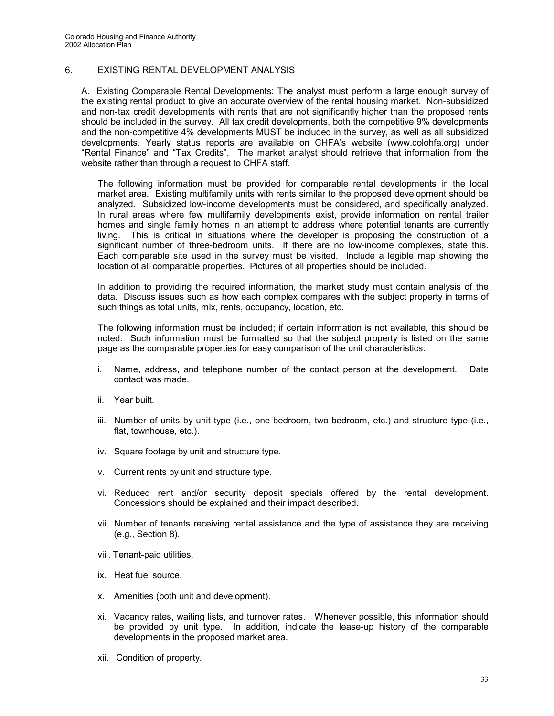#### 6. EXISTING RENTAL DEVELOPMENT ANALYSIS

A. Existing Comparable Rental Developments: The analyst must perform a large enough survey of the existing rental product to give an accurate overview of the rental housing market. Non-subsidized and non-tax credit developments with rents that are not significantly higher than the proposed rents should be included in the survey. All tax credit developments, both the competitive 9% developments and the non-competitive 4% developments MUST be included in the survey, as well as all subsidized developments. Yearly status reports are available on CHFA's website ([www.colohfa.org](http://www.colohfa.org/)) under "Rental Finance" and "Tax Credits". The market analyst should retrieve that information from the website rather than through a request to CHFA staff.

The following information must be provided for comparable rental developments in the local market area. Existing multifamily units with rents similar to the proposed development should be analyzed. Subsidized low-income developments must be considered, and specifically analyzed. In rural areas where few multifamily developments exist, provide information on rental trailer homes and single family homes in an attempt to address where potential tenants are currently living. This is critical in situations where the developer is proposing the construction of a significant number of three-bedroom units. If there are no low-income complexes, state this. Each comparable site used in the survey must be visited. Include a legible map showing the location of all comparable properties. Pictures of all properties should be included.

In addition to providing the required information, the market study must contain analysis of the data. Discuss issues such as how each complex compares with the subject property in terms of such things as total units, mix, rents, occupancy, location, etc.

The following information must be included; if certain information is not available, this should be noted. Such information must be formatted so that the subject property is listed on the same page as the comparable properties for easy comparison of the unit characteristics.

- i. Name, address, and telephone number of the contact person at the development. Date contact was made.
- ii. Year built.
- iii. Number of units by unit type (i.e., one-bedroom, two-bedroom, etc.) and structure type (i.e., flat, townhouse, etc.).
- iv. Square footage by unit and structure type.
- v. Current rents by unit and structure type.
- vi. Reduced rent and/or security deposit specials offered by the rental development. Concessions should be explained and their impact described.
- vii. Number of tenants receiving rental assistance and the type of assistance they are receiving (e.g., Section 8).
- viii. Tenant-paid utilities.
- ix. Heat fuel source.
- x. Amenities (both unit and development).
- xi. Vacancy rates, waiting lists, and turnover rates. Whenever possible, this information should be provided by unit type. In addition, indicate the lease-up history of the comparable developments in the proposed market area.
- xii. Condition of property.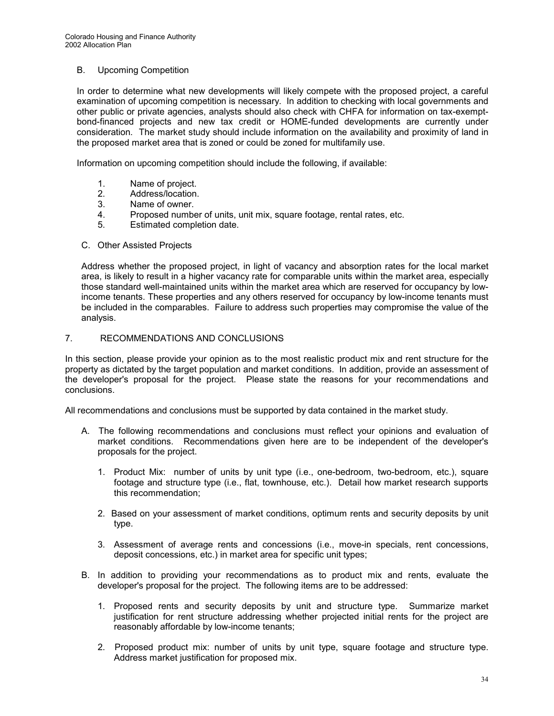#### B. Upcoming Competition

In order to determine what new developments will likely compete with the proposed project, a careful examination of upcoming competition is necessary. In addition to checking with local governments and other public or private agencies, analysts should also check with CHFA for information on tax-exemptbond-financed projects and new tax credit or HOME-funded developments are currently under consideration. The market study should include information on the availability and proximity of land in the proposed market area that is zoned or could be zoned for multifamily use.

Information on upcoming competition should include the following, if available:

- 1. Name of project.
- 
- 2. Address/location.<br>3. Name of owner. Name of owner.
- 4. Proposed number of units, unit mix, square footage, rental rates, etc.
- 5. Estimated completion date.

#### C. Other Assisted Projects

Address whether the proposed project, in light of vacancy and absorption rates for the local market area, is likely to result in a higher vacancy rate for comparable units within the market area, especially those standard well-maintained units within the market area which are reserved for occupancy by lowincome tenants. These properties and any others reserved for occupancy by low-income tenants must be included in the comparables. Failure to address such properties may compromise the value of the analysis.

#### 7. RECOMMENDATIONS AND CONCLUSIONS

In this section, please provide your opinion as to the most realistic product mix and rent structure for the property as dictated by the target population and market conditions. In addition, provide an assessment of the developer's proposal for the project. Please state the reasons for your recommendations and conclusions.

All recommendations and conclusions must be supported by data contained in the market study.

- A. The following recommendations and conclusions must reflect your opinions and evaluation of market conditions. Recommendations given here are to be independent of the developer's proposals for the project.
	- 1. Product Mix: number of units by unit type (i.e., one-bedroom, two-bedroom, etc.), square footage and structure type (i.e., flat, townhouse, etc.). Detail how market research supports this recommendation;
	- 2. Based on your assessment of market conditions, optimum rents and security deposits by unit type.
	- 3. Assessment of average rents and concessions (i.e., move-in specials, rent concessions, deposit concessions, etc.) in market area for specific unit types;
- B. In addition to providing your recommendations as to product mix and rents, evaluate the developer's proposal for the project. The following items are to be addressed:
	- 1. Proposed rents and security deposits by unit and structure type. Summarize market justification for rent structure addressing whether projected initial rents for the project are reasonably affordable by low-income tenants;
	- 2. Proposed product mix: number of units by unit type, square footage and structure type. Address market justification for proposed mix.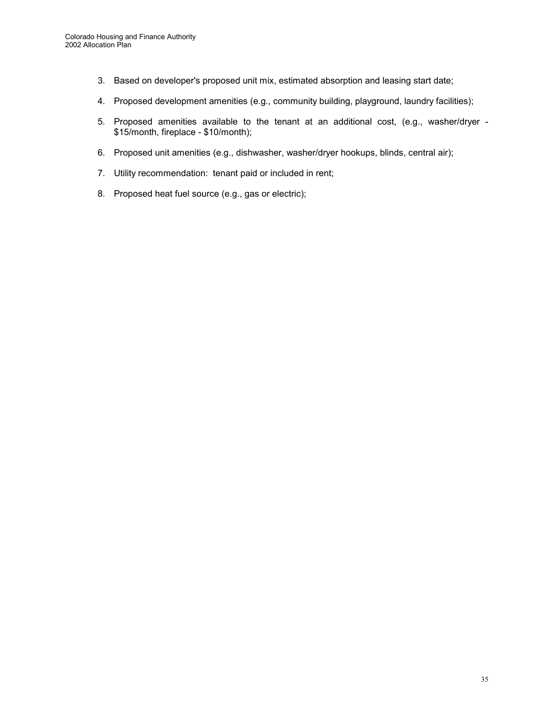- 3. Based on developer's proposed unit mix, estimated absorption and leasing start date;
- 4. Proposed development amenities (e.g., community building, playground, laundry facilities);
- 5. Proposed amenities available to the tenant at an additional cost, (e.g., washer/dryer \$15/month, fireplace - \$10/month);
- 6. Proposed unit amenities (e.g., dishwasher, washer/dryer hookups, blinds, central air);
- 7. Utility recommendation: tenant paid or included in rent;
- 8. Proposed heat fuel source (e.g., gas or electric);